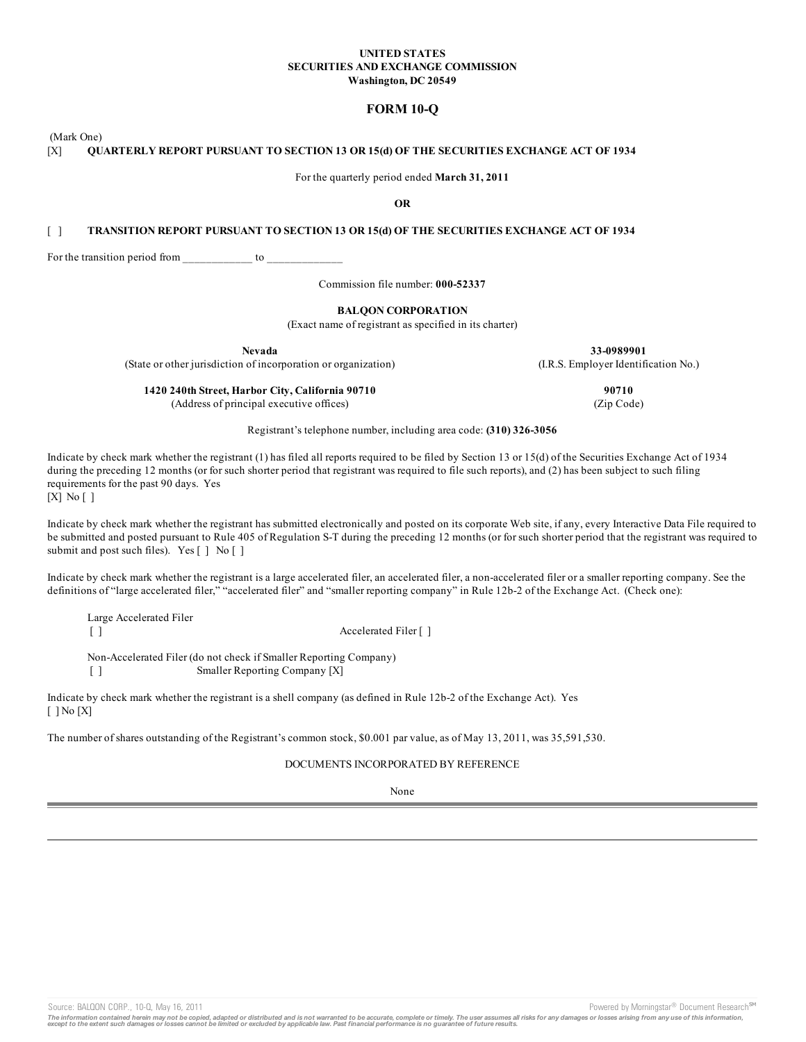## **UNITED STATES SECURITIES AND EXCHANGE COMMISSION Washington, DC 20549**

# **FORM 10-Q**

(Mark One)

# [X] **QUARTERLY REPORT PURSUANT TO SECTION 13 OR 15(d) OF THE SECURITIES EXCHANGE ACT OF 1934**

For the quarterly period ended **March 31, 2011**

**OR**

# [ ] **TRANSITION REPORT PURSUANT TO SECTION 13 OR 15(d) OF THE SECURITIES EXCHANGE ACT OF 1934**

For the transition period from  $\frac{1}{\sqrt{2}}$  to  $\frac{1}{\sqrt{2}}$ 

Commission file number: **000-52337**

**BALQON CORPORATION**

(Exact name of registrant as specified in its charter)

**Nevada**

(State or other jurisdiction of incorporation or organization)

**1420 240th Street, Harbor City, California 90710**

(Address of principal executive offices)

**33-0989901** (I.R.S. Employer Identification No.)

**90710** (Zip Code)

Registrant's telephone number, including area code: **(310) 326-3056**

Indicate by check mark whether the registrant (1) has filed all reports required to be filed by Section 13 or 15(d) of the Securities Exchange Act of 1934 during the preceding 12 months (or for such shorter period that registrant was required to file such reports), and (2) has been subject to such filing requirements for the past 90 days. Yes

[X] No [ ]

Indicate by check mark whether the registrant has submitted electronically and posted on its corporate Web site, if any, every Interactive Data File required to be submitted and posted pursuant to Rule 405 of Regulation S-T during the preceding 12 months (or for such shorter period that the registrant was required to submit and post such files). Yes [] No []

Indicate by check mark whether the registrant is a large accelerated filer, an accelerated filer, a non-accelerated filer or a smaller reporting company. See the definitions of "large accelerated filer," "accelerated filer" and "smaller reporting company" in Rule 12b-2 of the Exchange Act. (Check one):

Large Accelerated Filer

[ ] Accelerated Filer [ ]

Non-Accelerated Filer (do not check if Smaller Reporting Company) [ ] Smaller Reporting Company [X]

Indicate by check mark whether the registrant is a shell company (as defined in Rule 12b-2 of the Exchange Act). Yes [ ] No [X]

The number of shares outstanding of the Registrant's common stock, \$0.001 par value, as of May 13, 2011, was 35,591,530.

#### DOCUMENTS INCORPORATED BY REFERENCE

None

Source: BALQON CORP., 10-Q, May 16, 2011 **Powered by Morningstar<sup>®</sup>** Document Research<sup>SM</sup><br>
Powered by Morningstar<sup>®</sup> Document Research<sup>SM</sup>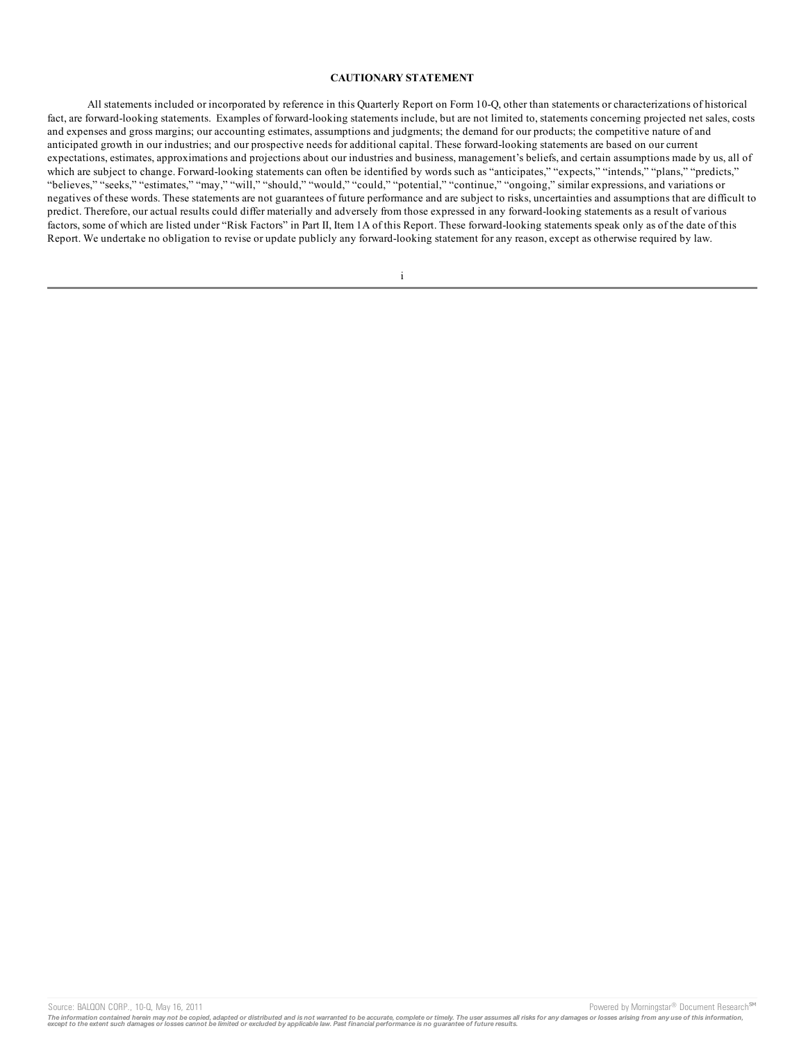## **CAUTIONARY STATEMENT**

All statements included or incorporated by reference in this Quarterly Report on Form 10-Q, other than statements or characterizations of historical fact, are forward-looking statements. Examples of forward-looking statements include, but are not limited to, statements concerning projected net sales, costs and expenses and gross margins; our accounting estimates, assumptions and judgments; the demand for our products; the competitive nature of and anticipated growth in our industries; and our prospective needs for additional capital. These forward-looking statements are based on our current expectations, estimates, approximations and projections about our industries and business, management's beliefs, and certain assumptions made by us, all of which are subject to change. Forward-looking statements can often be identified by words such as "anticipates," "expects," "intends," "plans," "predicts," "believes," "seeks," "estimates," "may," "will," "should," "would," "could," "potential," "continue," "ongoing," similar expressions, and variations or negatives of these words. These statements are not guarantees of future performance and are subject to risks, uncertainties and assumptions that are difficult to predict. Therefore, our actual results could differ materially and adversely from those expressed in any forward-looking statements as a result of various factors, some of which are listed under "Risk Factors" in Part II, Item 1A of this Report. These forward-looking statements speak only as of the date of this Report. We undertake no obligation to revise or update publicly any forward-looking statement for any reason, except as otherwise required by law.

Source: BALQON CORP., 10-Q, May 16, 2011<br>The information contained herein may not be copied, adapted or distributed and is not warranted to be accurate, complete or timely. The user assumes all risks for any damages or los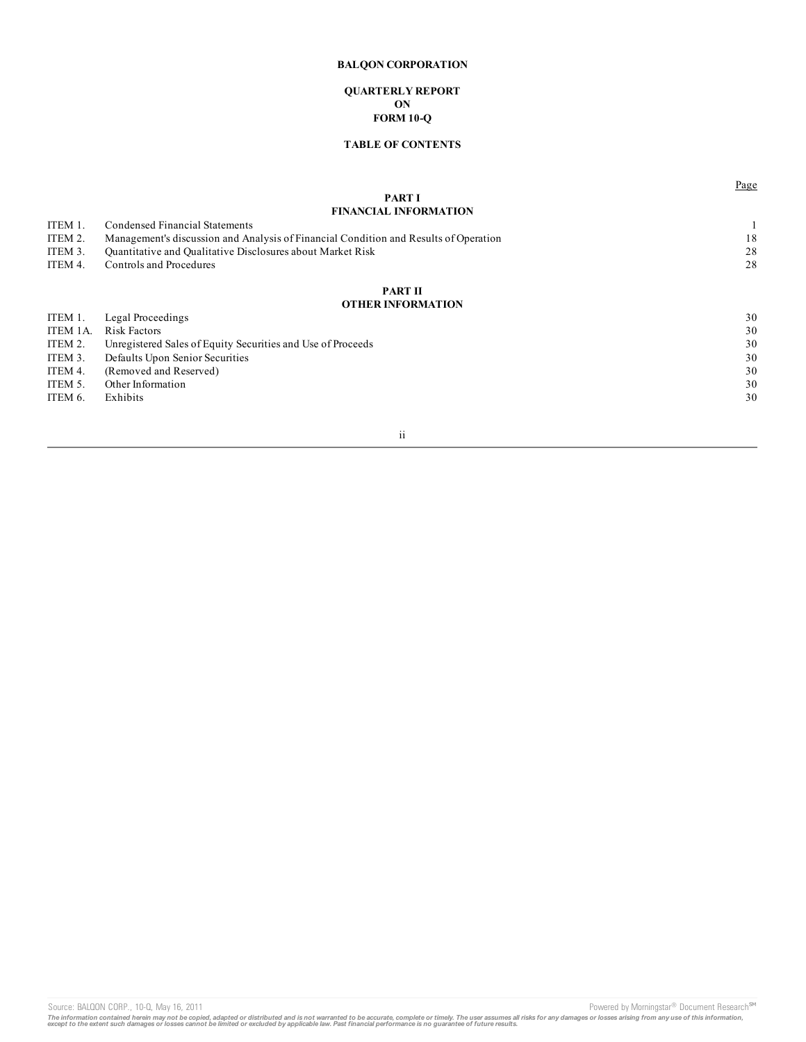# **QUARTERLY REPORT ON FORM 10-Q**

# **TABLE OF CONTENTS**

Page

## **PART I FINANCIAL INFORMATION**

| ITEM 1. | Condensed Financial Statements                                                       |    |
|---------|--------------------------------------------------------------------------------------|----|
| ITEM 2. | Management's discussion and Analysis of Financial Condition and Results of Operation | 18 |
| ITEM 3. | Ouantitative and Oualitative Disclosures about Market Risk                           | 28 |
| ITEM 4. | Controls and Procedures                                                              | 28 |
|         | <b>PART II</b>                                                                       |    |

# **OTHER INFORMATION**

| ITEM 1.  | Legal Proceedings                                           | 30 |
|----------|-------------------------------------------------------------|----|
| ITEM 1A. | <b>Risk Factors</b>                                         | 30 |
| ITEM 2.  | Unregistered Sales of Equity Securities and Use of Proceeds | 30 |
| ITEM 3.  | Defaults Upon Senior Securities                             | 30 |
| ITEM 4.  | (Removed and Reserved)                                      | 30 |
| ITEM 5.  | Other Information                                           | 30 |
| ITEM 6.  | Exhibits                                                    | 30 |
|          |                                                             |    |

# ii

Source: BALQON CORP., 10-Q, May 16, 2011 **Powered by Morningstar®** Document Research SM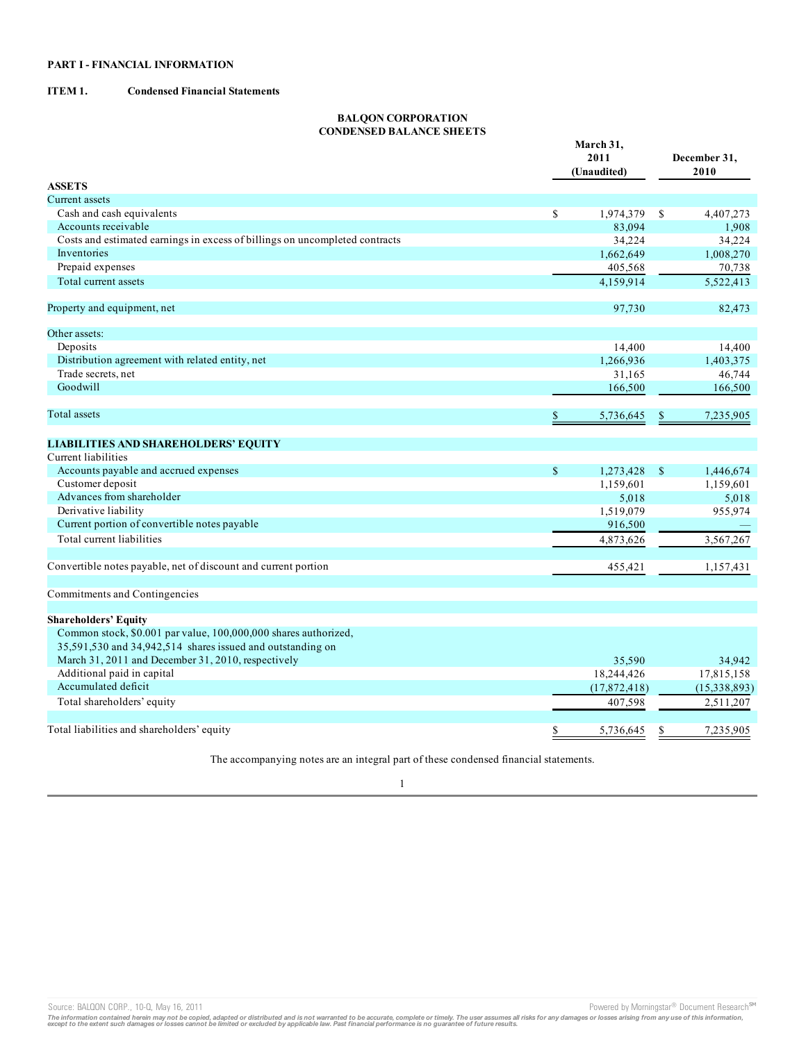# **PART I - FINANCIAL INFORMATION**

# **ITEM 1. Condensed Financial Statements**

# **BALQON CORPORATION CONDENSED BALANCE SHEETS**

|                                                                             |              | March 31,<br>2011<br>(Unaudited) |               | December 31,<br>2010 |
|-----------------------------------------------------------------------------|--------------|----------------------------------|---------------|----------------------|
| <b>ASSETS</b>                                                               |              |                                  |               |                      |
| Current assets                                                              |              |                                  |               |                      |
| Cash and cash equivalents                                                   | \$           | 1,974,379                        | <sup>\$</sup> | 4,407,273            |
| Accounts receivable                                                         |              | 83,094                           |               | 1,908                |
| Costs and estimated earnings in excess of billings on uncompleted contracts |              | 34,224                           |               | 34,224               |
| Inventories                                                                 |              | 1,662,649                        |               | 1,008,270            |
| Prepaid expenses                                                            |              | 405,568                          |               | 70,738               |
| Total current assets                                                        |              | 4,159,914                        |               | 5,522,413            |
| Property and equipment, net                                                 |              | 97,730                           |               | 82,473               |
| Other assets:                                                               |              |                                  |               |                      |
| Deposits                                                                    |              | 14,400                           |               | 14,400               |
| Distribution agreement with related entity, net                             |              | 1,266,936                        |               | 1,403,375            |
| Trade secrets, net                                                          |              | 31,165                           |               | 46,744               |
| Goodwill                                                                    |              | 166,500                          |               | 166,500              |
| Total assets                                                                | \$           | 5,736,645                        |               | 7,235,905            |
| <b>LIABILITIES AND SHAREHOLDERS' EQUITY</b>                                 |              |                                  |               |                      |
| Current liabilities                                                         |              |                                  |               |                      |
| Accounts payable and accrued expenses                                       | $\mathbb{S}$ | 1,273,428                        | $\mathbf{s}$  | 1,446,674            |
| Customer deposit                                                            |              | 1,159,601                        |               | 1,159,601            |
| Advances from shareholder                                                   |              | 5,018                            |               | 5,018                |
| Derivative liability                                                        |              | 1,519,079                        |               | 955,974              |
| Current portion of convertible notes payable                                |              | 916,500                          |               |                      |
| Total current liabilities                                                   |              | 4,873,626                        |               | 3,567,267            |
| Convertible notes payable, net of discount and current portion              |              | 455,421                          |               | 1,157,431            |
| Commitments and Contingencies                                               |              |                                  |               |                      |
|                                                                             |              |                                  |               |                      |
| <b>Shareholders' Equity</b>                                                 |              |                                  |               |                      |
| Common stock, \$0.001 par value, 100,000,000 shares authorized,             |              |                                  |               |                      |
| 35,591,530 and 34,942,514 shares issued and outstanding on                  |              |                                  |               |                      |
| March 31, 2011 and December 31, 2010, respectively                          |              | 35,590                           |               | 34,942               |
| Additional paid in capital                                                  |              | 18,244,426                       |               | 17,815,158           |
| Accumulated deficit                                                         |              | (17,872,418)                     |               | (15, 338, 893)       |
| Total shareholders' equity                                                  |              | 407,598                          |               | 2,511,207            |
| Total liabilities and shareholders' equity                                  | \$           | 5,736,645                        |               | 7,235,905            |

The accompanying notes are an integral part of these condensed financial statements.

1

Source: BALQON CORP., 10-Q, May 16, 2011<br>The information contained herein may not be copied, adapted or distributed and is not warranted to be accurate, complete or timely. The user assumes all risks for any damages or los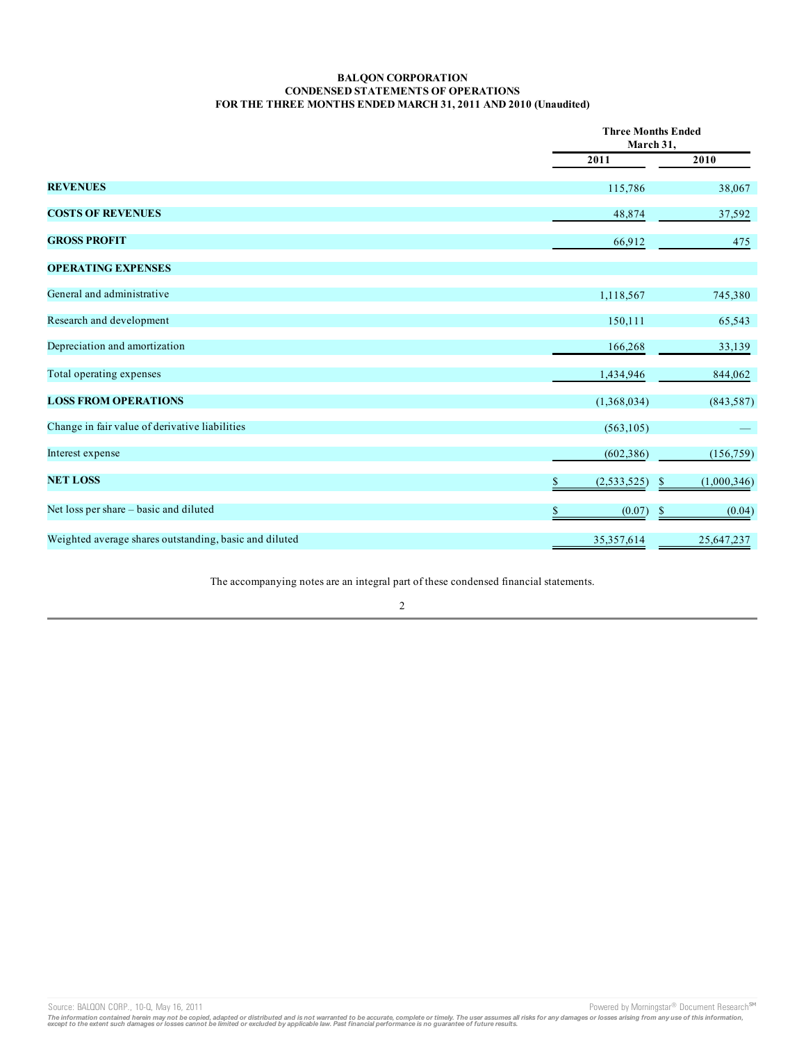# **BALQON CORPORATION CONDENSED STATEMENTS OF OPERATIONS FOR THE THREE MONTHS ENDED MARCH 31, 2011 AND 2010 (Unaudited)**

|                                                        | <b>Three Months Ended</b><br>March 31, |                  |
|--------------------------------------------------------|----------------------------------------|------------------|
|                                                        | 2011                                   | 2010             |
| <b>REVENUES</b>                                        | 115,786                                | 38,067           |
| <b>COSTS OF REVENUES</b>                               | 48,874                                 | 37,592           |
| <b>GROSS PROFIT</b>                                    | 66,912                                 | 475              |
| <b>OPERATING EXPENSES</b>                              |                                        |                  |
| General and administrative                             | 1,118,567                              | 745,380          |
| Research and development                               | 150,111                                | 65,543           |
| Depreciation and amortization                          | 166,268                                | 33,139           |
| Total operating expenses                               | 1,434,946                              | 844,062          |
| <b>LOSS FROM OPERATIONS</b>                            | (1,368,034)                            | (843,587)        |
| Change in fair value of derivative liabilities         | (563, 105)                             |                  |
| Interest expense                                       | (602, 386)                             | (156,759)        |
| <b>NET LOSS</b>                                        | (2,533,525)<br>\$                      | (1,000,346)<br>S |
| Net loss per share – basic and diluted                 | \$<br>$(0.07)$ \$                      | (0.04)           |
| Weighted average shares outstanding, basic and diluted | 35, 357, 614                           | 25,647,237       |

The accompanying notes are an integral part of these condensed financial statements.

2

Source: BALQON CORP., 10-Q, May 16, 2011 2011 2011 2012 12:30 2012 12:30 Powered by Morningstar® Document Research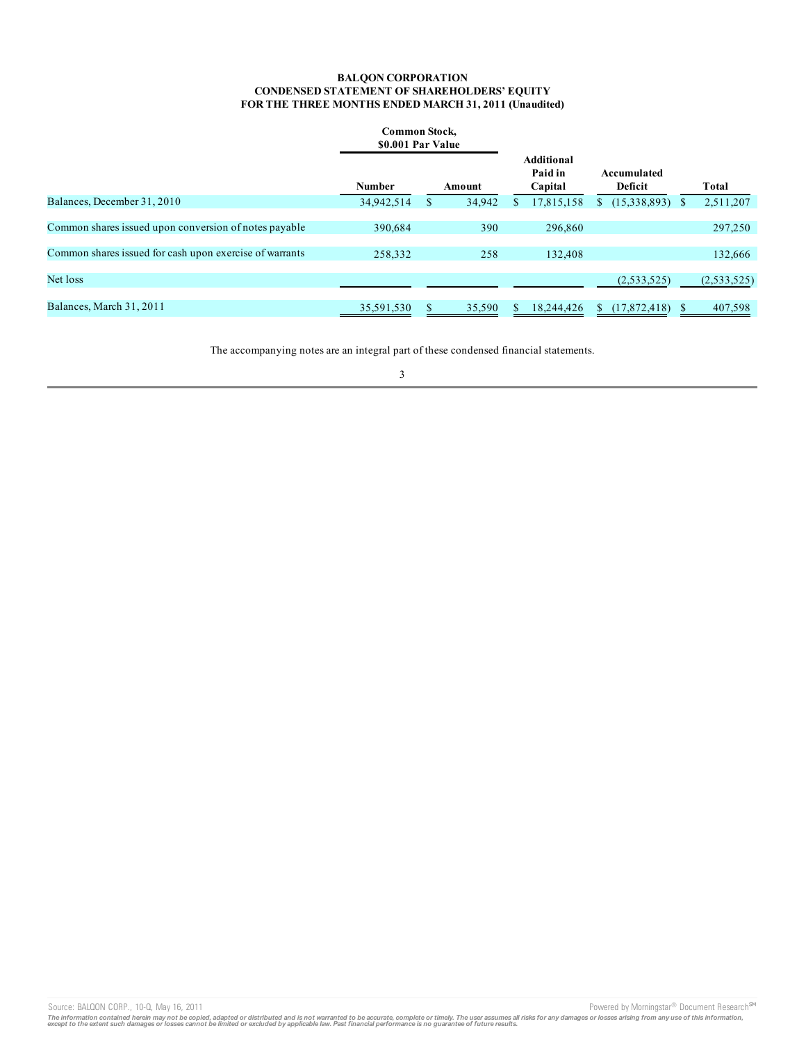## **BALQON CORPORATION CONDENSED STATEMENT OF SHAREHOLDERS' EQUITY FOR THE THREE MONTHS ENDED MARCH 31, 2011 (Unaudited)**

|                                                         | <b>Common Stock,</b><br>\$0.001 Par Value |   |        |   |                                         |                        |    |             |
|---------------------------------------------------------|-------------------------------------------|---|--------|---|-----------------------------------------|------------------------|----|-------------|
|                                                         | <b>Number</b>                             |   | Amount |   | <b>Additional</b><br>Paid in<br>Capital | Accumulated<br>Deficit |    | Total       |
| Balances, December 31, 2010                             | 34,942,514                                | S | 34,942 | ж | 17,815,158                              | (15,338,893)<br>S      | S. | 2,511,207   |
| Common shares issued upon conversion of notes payable   | 390.684                                   |   | 390    |   | 296,860                                 |                        |    | 297,250     |
| Common shares issued for cash upon exercise of warrants | 258,332                                   |   | 258    |   | 132,408                                 |                        |    | 132,666     |
| Net loss                                                |                                           |   |        |   |                                         | (2,533,525)            |    | (2,533,525) |
| Balances, March 31, 2011                                | 35,591,530                                |   | 35,590 |   | 18,244,426                              | (17, 872, 418)         |    | 407,598     |

The accompanying notes are an integral part of these condensed financial statements.

# 3

Source: BALQON CORP., 10-Q, May 16, 2011 **Powered by Morningstar®** Document Research SM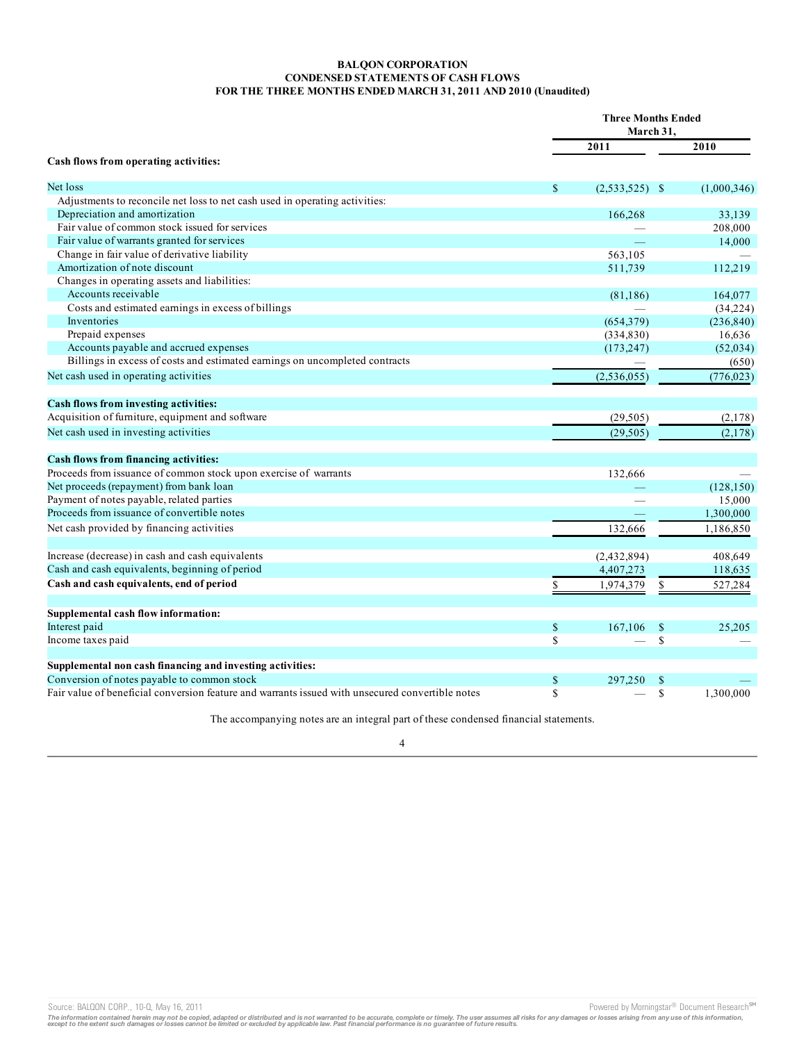# **BALQON CORPORATION CONDENSED STATEMENTS OF CASH FLOWS FOR THE THREE MONTHS ENDED MARCH 31, 2011 AND 2010 (Unaudited)**

|                                                                                                  | <b>Three Months Ended</b><br>March 31, |                  |              |             |
|--------------------------------------------------------------------------------------------------|----------------------------------------|------------------|--------------|-------------|
|                                                                                                  |                                        | 2011             |              | 2010        |
| Cash flows from operating activities:                                                            |                                        |                  |              |             |
| Net loss                                                                                         | \$                                     | $(2,533,525)$ \$ |              | (1,000,346) |
| Adjustments to reconcile net loss to net cash used in operating activities:                      |                                        |                  |              |             |
| Depreciation and amortization                                                                    |                                        | 166,268          |              | 33,139      |
| Fair value of common stock issued for services                                                   |                                        |                  |              | 208,000     |
| Fair value of warrants granted for services                                                      |                                        |                  |              | 14,000      |
| Change in fair value of derivative liability                                                     |                                        | 563,105          |              |             |
| Amortization of note discount                                                                    |                                        | 511,739          |              | 112,219     |
| Changes in operating assets and liabilities:                                                     |                                        |                  |              |             |
| Accounts receivable                                                                              |                                        | (81, 186)        |              | 164,077     |
| Costs and estimated earnings in excess of billings                                               |                                        |                  |              | (34, 224)   |
| Inventories                                                                                      |                                        | (654, 379)       |              | (236, 840)  |
| Prepaid expenses                                                                                 |                                        | (334, 830)       |              | 16,636      |
| Accounts payable and accrued expenses                                                            |                                        | (173, 247)       |              | (52,034)    |
| Billings in excess of costs and estimated earnings on uncompleted contracts                      |                                        |                  |              | (650)       |
| Net cash used in operating activities                                                            |                                        | (2,536,055)      |              | (776, 023)  |
| Cash flows from investing activities:                                                            |                                        |                  |              |             |
| Acquisition of furniture, equipment and software                                                 |                                        | (29, 505)        |              | (2,178)     |
| Net cash used in investing activities                                                            |                                        | (29, 505)        |              | (2,178)     |
| Cash flows from financing activities:                                                            |                                        |                  |              |             |
| Proceeds from issuance of common stock upon exercise of warrants                                 |                                        | 132,666          |              |             |
| Net proceeds (repayment) from bank loan                                                          |                                        |                  |              | (128, 150)  |
| Payment of notes payable, related parties                                                        |                                        |                  |              | 15,000      |
| Proceeds from issuance of convertible notes                                                      |                                        |                  |              | 1,300,000   |
| Net cash provided by financing activities                                                        |                                        | 132,666          |              | 1,186,850   |
| Increase (decrease) in cash and cash equivalents                                                 |                                        | (2,432,894)      |              | 408,649     |
| Cash and cash equivalents, beginning of period                                                   |                                        | 4,407,273        |              | 118,635     |
| Cash and cash equivalents, end of period                                                         | \$                                     | 1,974,379        | \$           | 527,284     |
|                                                                                                  |                                        |                  |              |             |
| Supplemental cash flow information:                                                              |                                        |                  |              |             |
| Interest paid                                                                                    | \$                                     | 167,106          | $\mathbb{S}$ | 25,205      |
| Income taxes paid                                                                                | \$                                     |                  | $\mathbf S$  |             |
| Supplemental non cash financing and investing activities:                                        |                                        |                  |              |             |
| Conversion of notes payable to common stock                                                      | \$                                     | 297.250          | S            |             |
| Fair value of beneficial conversion feature and warrants issued with unsecured convertible notes | \$                                     |                  | $\mathbf S$  | 1.300.000   |

The accompanying notes are an integral part of these condensed financial statements.

# 4

Source: BALQON CORP., 10-Q, May 16, 2011 2011 2011 2012 12:30 2012 12:30 Powered by Morningstar® Document Research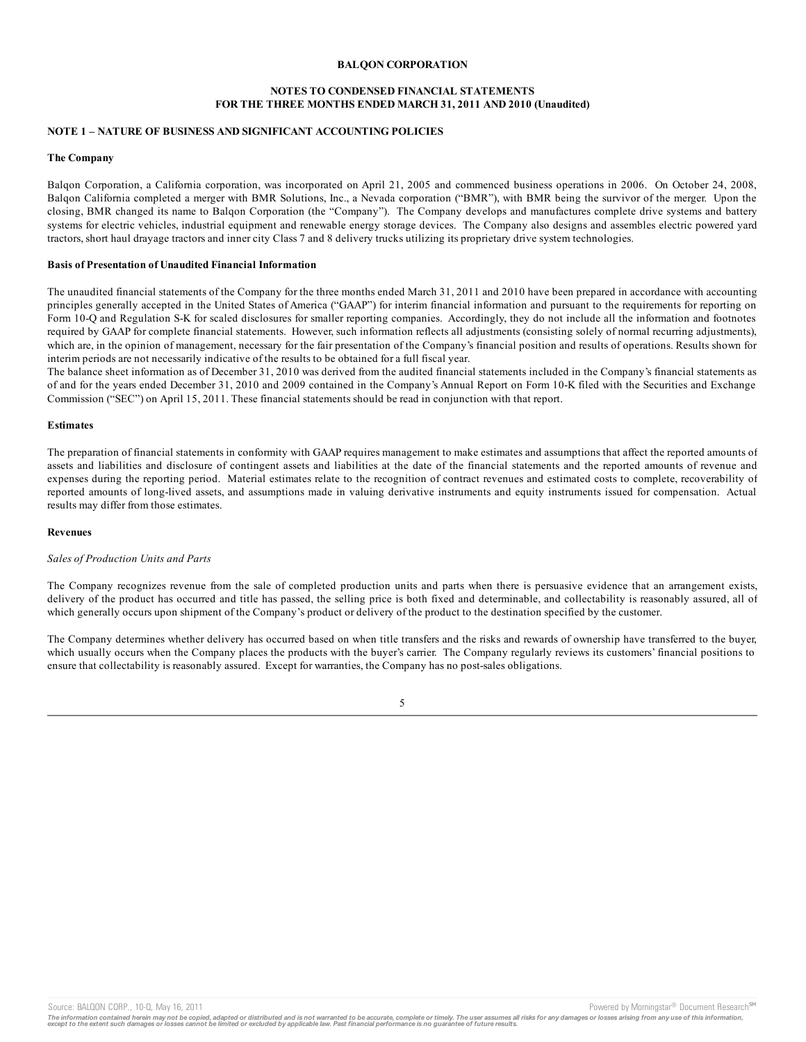## **NOTES TO CONDENSED FINANCIAL STATEMENTS FOR THE THREE MONTHS ENDED MARCH 31, 2011 AND 2010 (Unaudited)**

# **NOTE 1 – NATURE OF BUSINESS AND SIGNIFICANT ACCOUNTING POLICIES**

#### **The Company**

Balqon Corporation, a California corporation, was incorporated on April 21, 2005 and commenced business operations in 2006. On October 24, 2008, Balqon California completed a merger with BMR Solutions, Inc., a Nevada corporation ("BMR"), with BMR being the survivor of the merger. Upon the closing, BMR changed its name to Balqon Corporation (the "Company"). The Company develops and manufactures complete drive systems and battery systems for electric vehicles, industrial equipment and renewable energy storage devices. The Company also designs and assembles electric powered yard tractors, short haul drayage tractors and inner city Class 7 and 8 delivery trucks utilizing its proprietary drive system technologies.

#### **Basis of Presentation of Unaudited Financial Information**

The unaudited financial statements of the Company for the three months ended March 31, 2011 and 2010 have been prepared in accordance with accounting principles generally accepted in the United States of America ("GAAP") for interim financial information and pursuant to the requirements for reporting on Form 10-Q and Regulation S-K for scaled disclosures for smaller reporting companies. Accordingly, they do not include all the information and footnotes required by GAAP for complete financial statements. However, such information reflects all adjustments (consisting solely of normal recurring adjustments), which are, in the opinion of management, necessary for the fair presentation of the Company's financial position and results of operations. Results shown for interim periods are not necessarily indicative of the results to be obtained for a full fiscal year.

The balance sheet information as of December 31, 2010 was derived from the audited financial statements included in the Company's financial statements as of and for the years ended December 31, 2010 and 2009 contained in the Company's Annual Report on Form 10-K filed with the Securities and Exchange Commission ("SEC") on April 15, 2011. These financial statements should be read in conjunction with that report.

## **Estimates**

The preparation of financial statements in conformity with GAAP requires management to make estimates and assumptions that affect the reported amounts of assets and liabilities and disclosure of contingent assets and liabilities at the date of the financial statements and the reported amounts of revenue and expenses during the reporting period. Material estimates relate to the recognition of contract revenues and estimated costs to complete, recoverability of reported amounts of long-lived assets, and assumptions made in valuing derivative instruments and equity instruments issued for compensation. Actual results may differ from those estimates.

#### **Revenues**

#### *Sales of Production Units and Parts*

The Company recognizes revenue from the sale of completed production units and parts when there is persuasive evidence that an arrangement exists, delivery of the product has occurred and title has passed, the selling price is both fixed and determinable, and collectability is reasonably assured, all of which generally occurs upon shipment of the Company's product or delivery of the product to the destination specified by the customer.

The Company determines whether delivery has occurred based on when title transfers and the risks and rewards of ownership have transferred to the buyer, which usually occurs when the Company places the products with the buyer's carrier. The Company regularly reviews its customers' financial positions to ensure that collectability is reasonably assured. Except for warranties, the Company has no post-sales obligations.

5

Source: BALQON CORP., 10-Q, May 16, 2011 **Powered by Morningstar® Document Research** in Powered by Morningstar® Document Research in

The information contained herein may not be copied, adapted or distributed and is not warranted to be accurate, complete or timely. The user assumes all risks for any damages or losses arising from any use of this informat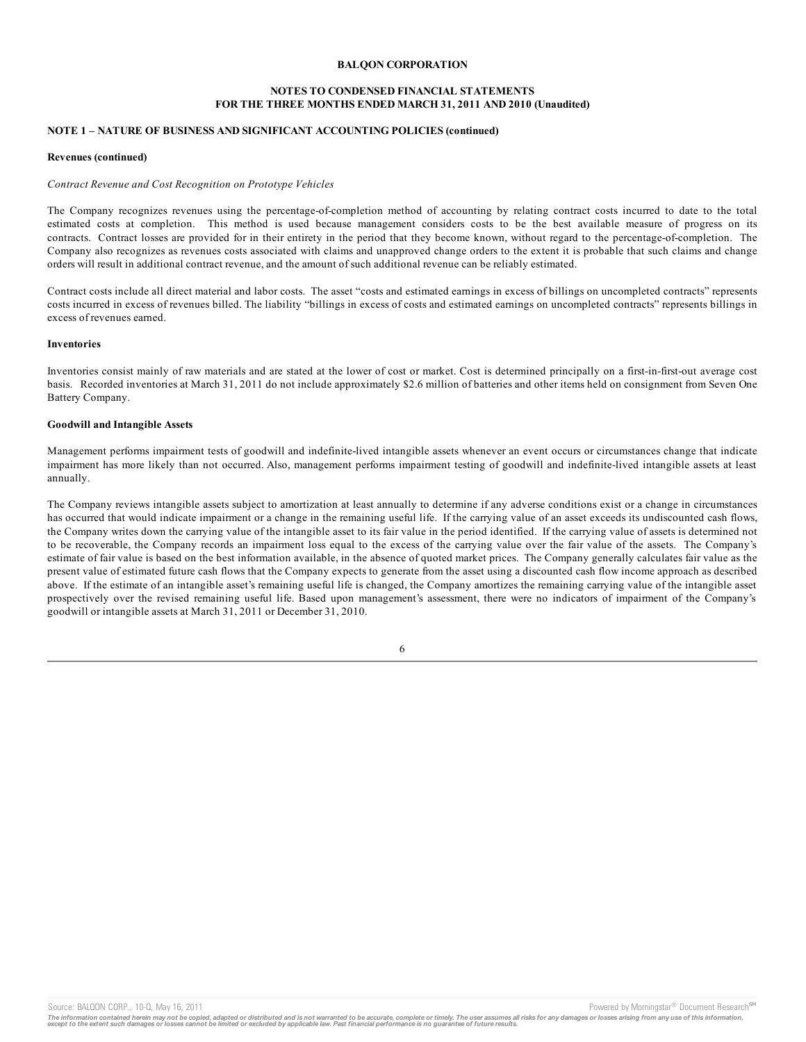#### **NOTES TO CONDENSED FINANCIAL STATEMENTS FOR THE THREE MONTHS ENDED MARCH 31, 2011 AND 2010 (Unaudited)**

# **NOTE 1 – NATURE OF BUSINESS AND SIGNIFICANT ACCOUNTING POLICIES (continued)**

#### **Revenues (continued)**

#### *Contract Revenue and Cost Recognition on Prototype Vehicles*

The Company recognizes revenues using the percentage-of-completion method of accounting by relating contract costs incurred to date to the total estimated costs at completion. This method is used because management considers costs to be the best available measure of progress on its contracts. Contract losses are provided for in their entirety in the period that they become known, without regard to the percentage-of-completion. The Company also recognizes as revenues costs associated with claims and unapproved change orders to the extent it is probable that such claims and change orders will result in additional contract revenue, and the amount of such additional revenue can be reliably estimated.

Contract costs include all direct material and labor costs. The asset "costs and estimated earnings in excess of billings on uncompleted contracts" represents costs incurred in excess of revenues billed. The liability "billings in excess of costs and estimated earnings on uncompleted contracts" represents billings in excess of revenues earned.

#### **Inventories**

Inventories consist mainly of raw materials and are stated at the lower of cost or market. Cost is determined principally on a first-in-first-out average cost basis. Recorded inventories at March 31, 2011 do not include approximately \$2.6 million of batteries and other items held on consignment from Seven One Battery Company.

#### **Goodwill and Intangible Assets**

Management performs impairment tests of goodwill and indefinite-lived intangible assets whenever an event occurs or circumstances change that indicate impairment has more likely than not occurred. Also, management performs impairment testing of goodwill and indefinite-lived intangible assets at least annually.

The Company reviews intangible assets subject to amortization at least annually to determine if any adverse conditions exist or a change in circumstances has occurred that would indicate impairment or a change in the remaining useful life. If the carrying value of an asset exceeds its undiscounted cash flows, the Company writes down the carrying value of the intangible asset to its fair value in the period identified. If the carrying value of assets is determined not to be recoverable, the Company records an impairment loss equal to the excess of the carrying value over the fair value of the assets. The Company's estimate of fair value is based on the best information available, in the absence of quoted market prices. The Company generally calculates fair value as the present value of estimated future cash flows that the Company expects to generate from the asset using a discounted cash flow income approach as described above. If the estimate of an intangible asset's remaining useful life is changed, the Company amortizes the remaining carrying value of the intangible asset prospectively over the revised remaining useful life. Based upon management's assessment, there were no indicators of impairment of the Company's goodwill or intangible assets at March 31, 2011 or December 31, 2010.



Source: BALQON CORP., 10-Q, May 16, 2011 **Proverse and Source: BALQON CORP.** Powered by Morningstar<sup>®</sup> Document Research Stream

The information contained herein may not be copied, adapted or distributed and is not warranted to be accurate, complete or timely. The user assumes all risks for any damages or losses arising from any use of this informat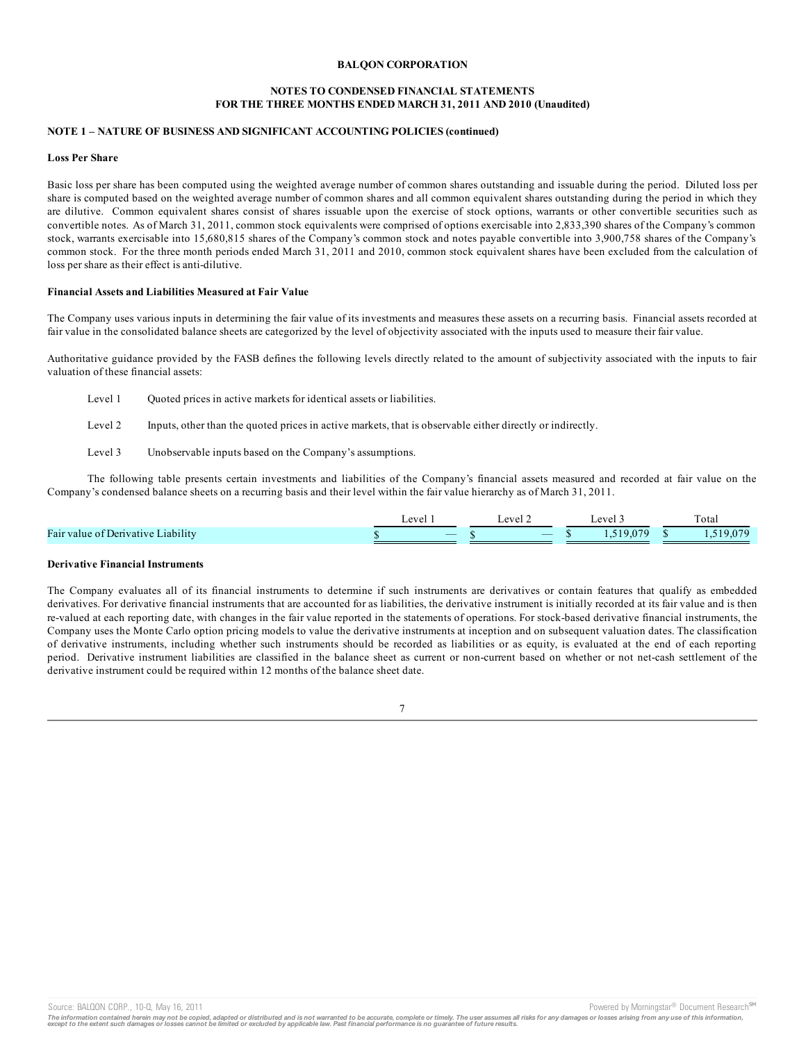## **NOTES TO CONDENSED FINANCIAL STATEMENTS FOR THE THREE MONTHS ENDED MARCH 31, 2011 AND 2010 (Unaudited)**

# **NOTE 1 – NATURE OF BUSINESS AND SIGNIFICANT ACCOUNTING POLICIES (continued)**

#### **Loss Per Share**

Basic loss per share has been computed using the weighted average number of common shares outstanding and issuable during the period. Diluted loss per share is computed based on the weighted average number of common shares and all common equivalent shares outstanding during the period in which they are dilutive. Common equivalent shares consist of shares issuable upon the exercise of stock options, warrants or other convertible securities such as convertible notes. As of March 31, 2011, common stock equivalents were comprised of options exercisable into 2,833,390 shares of the Company's common stock, warrants exercisable into 15,680,815 shares of the Company's common stock and notes payable convertible into 3,900,758 shares of the Company's common stock. For the three month periods ended March 31, 2011 and 2010, common stock equivalent shares have been excluded from the calculation of loss per share as their effect is anti-dilutive.

#### **Financial Assets and Liabilities Measured at Fair Value**

The Company uses various inputs in determining the fair value of its investments and measures these assets on a recurring basis. Financial assets recorded at fair value in the consolidated balance sheets are categorized by the level of objectivity associated with the inputs used to measure their fair value.

Authoritative guidance provided by the FASB defines the following levels directly related to the amount of subjectivity associated with the inputs to fair valuation of these financial assets:

- Level 1 Quoted prices in active markets for identical assets or liabilities.
- Level 2 Inputs, other than the quoted prices in active markets, that is observable either directly or indirectly.
- Level 3 Unobservable inputs based on the Company's assumptions.

The following table presents certain investments and liabilities of the Company's financial assets measured and recorded at fair value on the Company's condensed balance sheets on a recurring basis and their level within the fair value hierarchy as of March 31, 2011.

|                                                 | PVP |            | ATP |    | evel | Total |
|-------------------------------------------------|-----|------------|-----|----|------|-------|
| Fair value of<br>.<br>$1a$ bility<br>Derivative |     | <u> — </u> |     | __ |      | .079  |

### **Derivative Financial Instruments**

The Company evaluates all of its financial instruments to determine if such instruments are derivatives or contain features that qualify as embedded derivatives. For derivative financial instruments that are accounted for as liabilities, the derivative instrument is initially recorded at its fair value and is then re-valued at each reporting date, with changes in the fair value reported in the statements of operations. For stock-based derivative financial instruments, the Company uses the Monte Carlo option pricing models to value the derivative instruments at inception and on subsequent valuation dates. The classification of derivative instruments, including whether such instruments should be recorded as liabilities or as equity, is evaluated at the end of each reporting period. Derivative instrument liabilities are classified in the balance sheet as current or non-current based on whether or not net-cash settlement of the derivative instrument could be required within 12 months of the balance sheet date.



Source: BALQON CORP., 10-Q, May 16, 2011 **Proverse and Source: BALQON CORP.** Powered by Morningstar<sup>®</sup> Document Research Stream

The information contained herein may not be copied, adapted or distributed and is not warranted to be accurate, complete or timely. The user assumes all risks for any damages or losses arising from any use of this informat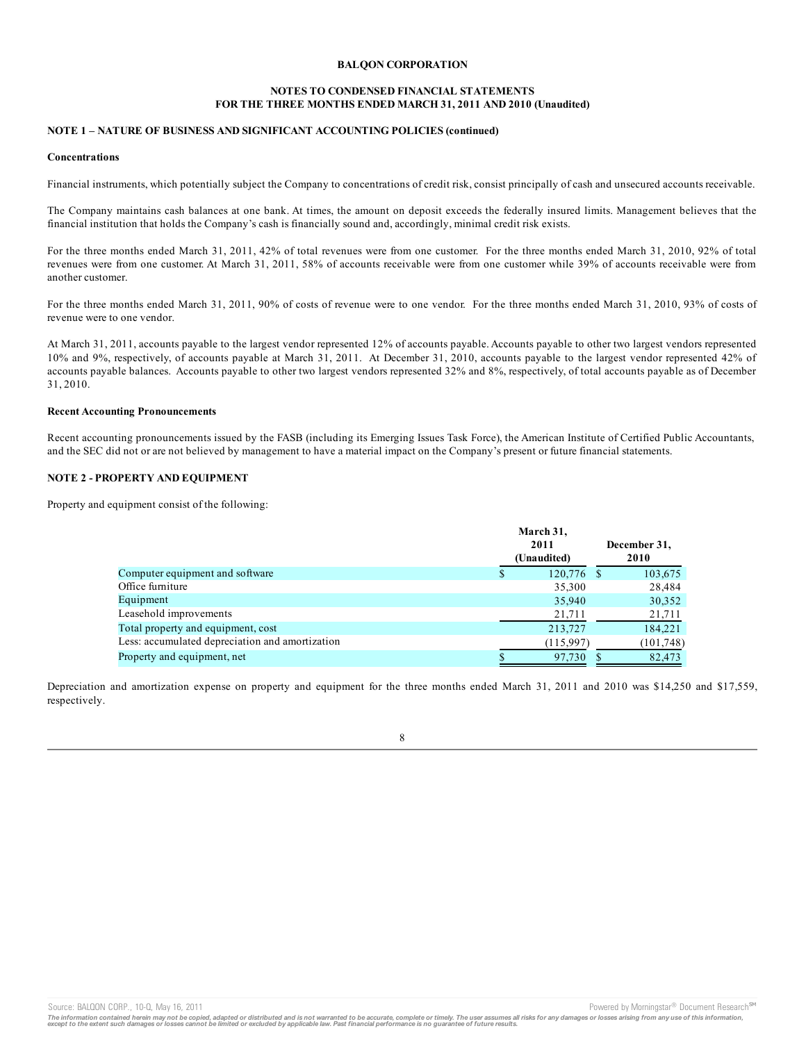#### **NOTES TO CONDENSED FINANCIAL STATEMENTS FOR THE THREE MONTHS ENDED MARCH 31, 2011 AND 2010 (Unaudited)**

# **NOTE 1 – NATURE OF BUSINESS AND SIGNIFICANT ACCOUNTING POLICIES (continued)**

#### **Concentrations**

Financial instruments, which potentially subject the Company to concentrations of credit risk, consist principally of cash and unsecured accounts receivable.

The Company maintains cash balances at one bank. At times, the amount on deposit exceeds the federally insured limits. Management believes that the financial institution that holds the Company's cash is financially sound and, accordingly, minimal credit risk exists.

For the three months ended March 31, 2011, 42% of total revenues were from one customer. For the three months ended March 31, 2010, 92% of total revenues were from one customer. At March 31, 2011, 58% of accounts receivable were from one customer while 39% of accounts receivable were from another customer.

For the three months ended March 31, 2011, 90% of costs of revenue were to one vendor. For the three months ended March 31, 2010, 93% of costs of revenue were to one vendor.

At March 31, 2011, accounts payable to the largest vendor represented 12% of accounts payable. Accounts payable to other two largest vendors represented 10% and 9%, respectively, of accounts payable at March 31, 2011. At December 31, 2010, accounts payable to the largest vendor represented 42% of accounts payable balances. Accounts payable to other two largest vendors represented 32% and 8%, respectively, of total accounts payable as of December 31, 2010.

# **Recent Accounting Pronouncements**

Recent accounting pronouncements issued by the FASB (including its Emerging Issues Task Force), the American Institute of Certified Public Accountants, and the SEC did not or are not believed by management to have a material impact on the Company's present or future financial statements.

# **NOTE 2 - PROPERTY AND EQUIPMENT**

Property and equipment consist of the following:

|                                                 |   | March 31,           |  |            |  |  |
|-------------------------------------------------|---|---------------------|--|------------|--|--|
|                                                 |   | 2011<br>(Unaudited) |  |            |  |  |
| Computer equipment and software                 | S | 120,776             |  | 103,675    |  |  |
| Office furniture                                |   | 35,300              |  | 28,484     |  |  |
| Equipment                                       |   | 35,940              |  | 30,352     |  |  |
| Leasehold improvements                          |   | 21,711              |  | 21,711     |  |  |
| Total property and equipment, cost              |   | 213,727             |  | 184,221    |  |  |
| Less: accumulated depreciation and amortization |   | (115,997)           |  | (101, 748) |  |  |
| Property and equipment, net                     |   | 97.730              |  | 82,473     |  |  |

Depreciation and amortization expense on property and equipment for the three months ended March 31, 2011 and 2010 was \$14,250 and \$17,559, respectively.

Source: BALQON CORP., 10-Q, May 16, 2011 **Powered by Morningstar® Document Research** structure is a structure of the second structure of the second structure of the second structure of the second structure is a structure o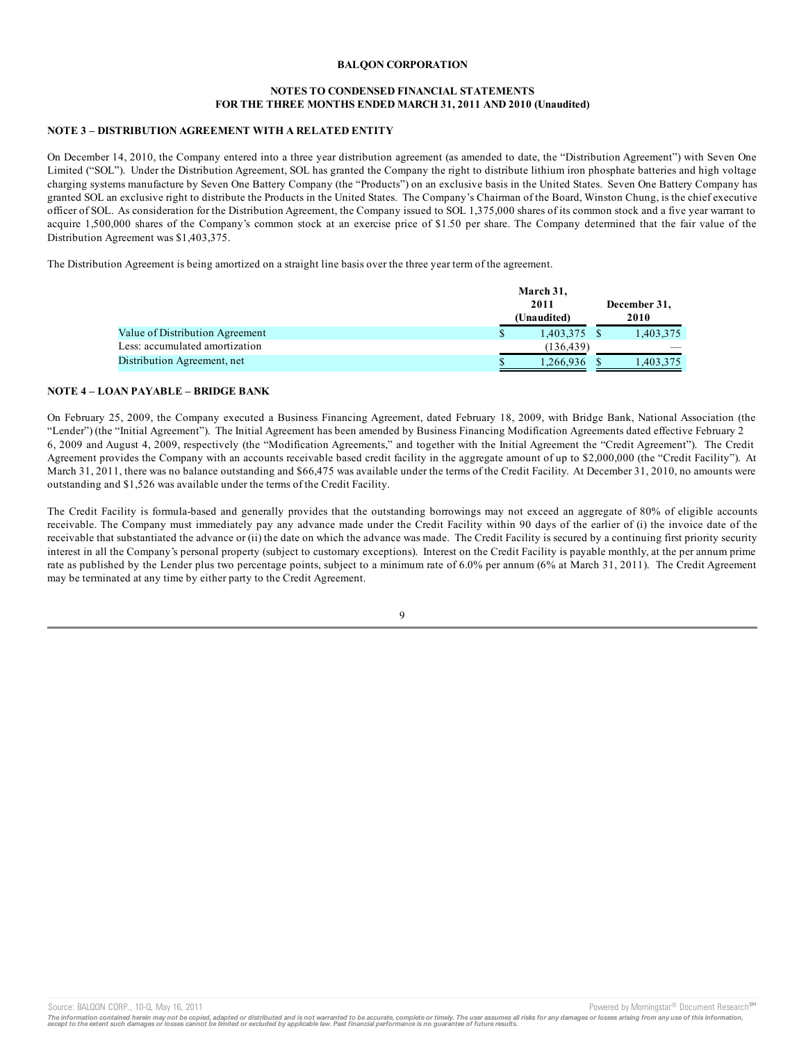## **NOTES TO CONDENSED FINANCIAL STATEMENTS FOR THE THREE MONTHS ENDED MARCH 31, 2011 AND 2010 (Unaudited)**

# **NOTE 3 – DISTRIBUTION AGREEMENT WITH A RELATED ENTITY**

On December 14, 2010, the Company entered into a three year distribution agreement (as amended to date, the "Distribution Agreement") with Seven One Limited ("SOL"). Under the Distribution Agreement, SOL has granted the Company the right to distribute lithium iron phosphate batteries and high voltage charging systems manufacture by Seven One Battery Company (the "Products") on an exclusive basis in the United States. Seven One Battery Company has granted SOL an exclusive right to distribute the Products in the United States. The Company's Chairman of the Board, Winston Chung, is the chief executive officer of SOL. As consideration for the Distribution Agreement, the Company issued to SOL 1,375,000 shares of its common stock and a five year warrant to acquire 1,500,000 shares of the Company's common stock at an exercise price of \$1.50 per share. The Company determined that the fair value of the Distribution Agreement was \$1,403,375.

The Distribution Agreement is being amortized on a straight line basis over the three year term of the agreement.

|                                 | March 31,    |              |
|---------------------------------|--------------|--------------|
|                                 | 2011         | December 31, |
|                                 | (Unaudited)  | 2010         |
| Value of Distribution Agreement | 1.403.375 \$ | 1,403,375    |
| Less: accumulated amortization  | (136, 439)   |              |
| Distribution Agreement, net     | 1,266,936    | 1,403,375    |

# **NOTE 4 – LOAN PAYABLE – BRIDGE BANK**

On February 25, 2009, the Company executed a Business Financing Agreement, dated February 18, 2009, with Bridge Bank, National Association (the "Lender") (the "Initial Agreement"). The Initial Agreement has been amended by Business Financing Modification Agreements dated effective February 2 6, 2009 and August 4, 2009, respectively (the "Modification Agreements," and together with the Initial Agreement the "Credit Agreement"). The Credit Agreement provides the Company with an accounts receivable based credit facility in the aggregate amount of up to \$2,000,000 (the "Credit Facility"). At March 31, 2011, there was no balance outstanding and \$66,475 was available under the terms of the Credit Facility. At December 31, 2010, no amounts were outstanding and \$1,526 was available under the terms of the Credit Facility.

The Credit Facility is formula-based and generally provides that the outstanding borrowings may not exceed an aggregate of 80% of eligible accounts receivable. The Company must immediately pay any advance made under the Credit Facility within 90 days of the earlier of (i) the invoice date of the receivable that substantiated the advance or (ii) the date on which the advance was made. The Credit Facility is secured by a continuing first priority security interest in all the Company's personal property (subject to customary exceptions). Interest on the Credit Facility is payable monthly, at the per annum prime rate as published by the Lender plus two percentage points, subject to a minimum rate of 6.0% per annum (6% at March 31, 2011). The Credit Agreement may be terminated at any time by either party to the Credit Agreement.

9

Source: BALQON CORP., 10-Q, May 16, 2011 **Proverse and Source: BALQON CORP.** Powered by Morningstar<sup>®</sup> Document Research Stream

The information contained herein may not be copied, adapted or distributed and is not warranted to be accurate, complete or timely. The user assumes all risks for any damages or losses arising from any use of this informat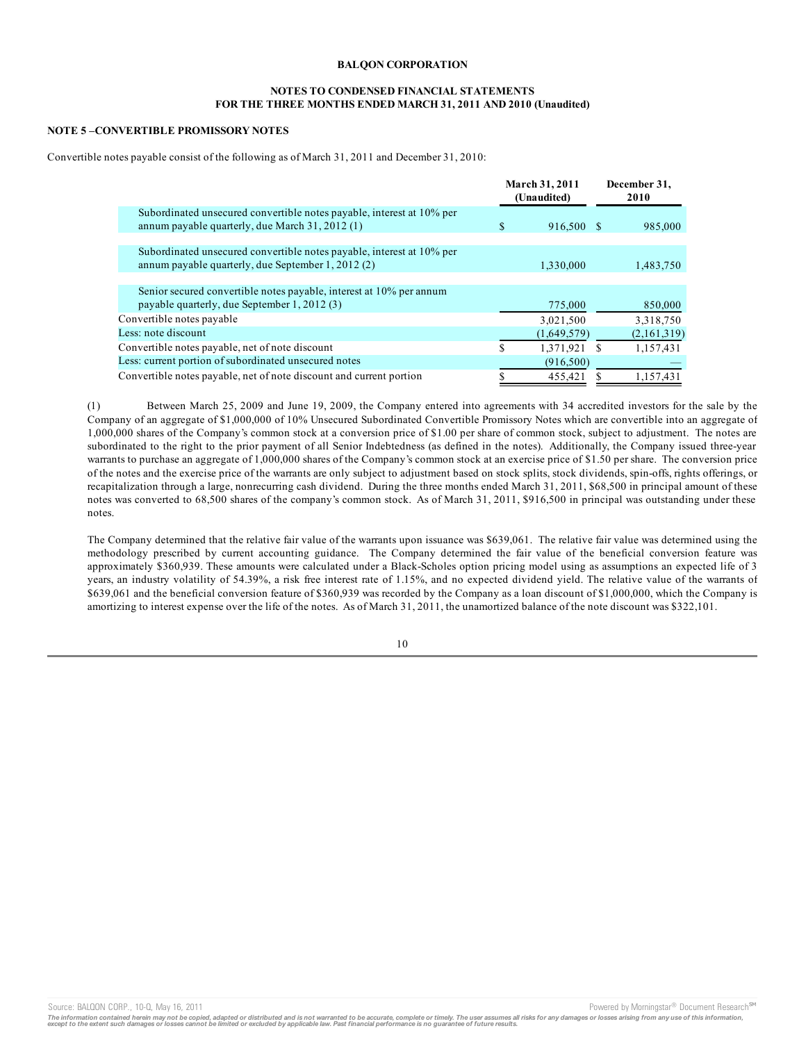## **NOTES TO CONDENSED FINANCIAL STATEMENTS FOR THE THREE MONTHS ENDED MARCH 31, 2011 AND 2010 (Unaudited)**

# **NOTE 5 –CONVERTIBLE PROMISSORY NOTES**

Convertible notes payable consist of the following as of March 31, 2011 and December 31, 2010:

|                                                                       | March 31, 2011<br>(Unaudited) |             |  | December 31.<br>2010 |
|-----------------------------------------------------------------------|-------------------------------|-------------|--|----------------------|
| Subordinated unsecured convertible notes payable, interest at 10% per |                               |             |  |                      |
| annum payable quarterly, due March 31, 2012 (1)                       | \$                            | 916,500 \$  |  | 985,000              |
|                                                                       |                               |             |  |                      |
| Subordinated unsecured convertible notes payable, interest at 10% per |                               |             |  |                      |
| annum payable quarterly, due September 1, 2012 (2)                    |                               | 1,330,000   |  | 1,483,750            |
|                                                                       |                               |             |  |                      |
| Senior secured convertible notes payable, interest at 10% per annum   |                               |             |  |                      |
| payable quarterly, due September 1, 2012 (3)                          |                               | 775,000     |  | 850,000              |
| Convertible notes payable                                             |                               | 3,021,500   |  | 3,318,750            |
| Less: note discount                                                   |                               | (1,649,579) |  | (2,161,319)          |
| Convertible notes payable, net of note discount                       | S                             | 1,371,921   |  | 1,157,431            |
| Less: current portion of subordinated unsecured notes                 |                               | (916,500)   |  |                      |
| Convertible notes payable, net of note discount and current portion   |                               | 455,421     |  | 1,157,431            |
|                                                                       |                               |             |  |                      |

(1) Between March 25, 2009 and June 19, 2009, the Company entered into agreements with 34 accredited investors for the sale by the Company of an aggregate of \$1,000,000 of 10% Unsecured Subordinated Convertible Promissory Notes which are convertible into an aggregate of 1,000,000 shares of the Company's common stock at a conversion price of \$1.00 per share of common stock, subject to adjustment. The notes are subordinated to the right to the prior payment of all Senior Indebtedness (as defined in the notes). Additionally, the Company issued three-year warrants to purchase an aggregate of 1,000,000 shares of the Company's common stock at an exercise price of \$1.50 per share. The conversion price of the notes and the exercise price of the warrants are only subject to adjustment based on stock splits, stock dividends, spin-offs, rights offerings, or recapitalization through a large, nonrecurring cash dividend. During the three months ended March 31, 2011, \$68,500 in principal amount of these notes was converted to 68,500 shares of the company's common stock. As of March 31, 2011, \$916,500 in principal was outstanding under these notes.

The Company determined that the relative fair value of the warrants upon issuance was \$639,061. The relative fair value was determined using the methodology prescribed by current accounting guidance. The Company determined the fair value of the beneficial conversion feature was approximately \$360,939. These amounts were calculated under a Black-Scholes option pricing model using as assumptions an expected life of 3 years, an industry volatility of 54.39%, a risk free interest rate of 1.15%, and no expected dividend yield. The relative value of the warrants of \$639,061 and the beneficial conversion feature of \$360,939 was recorded by the Company as a loan discount of \$1,000,000, which the Company is amortizing to interest expense over the life of the notes. As of March 31, 2011, the unamortized balance of the note discount was \$322,101.

10

Source: BALQON CORP., 10-Q, May 16, 2011 **Powered by Morningstar<sup>®</sup>** Document Research<sup>SM</sup><br>
Powered by Morningstar<sup>®</sup> Document Research<sup>SM</sup>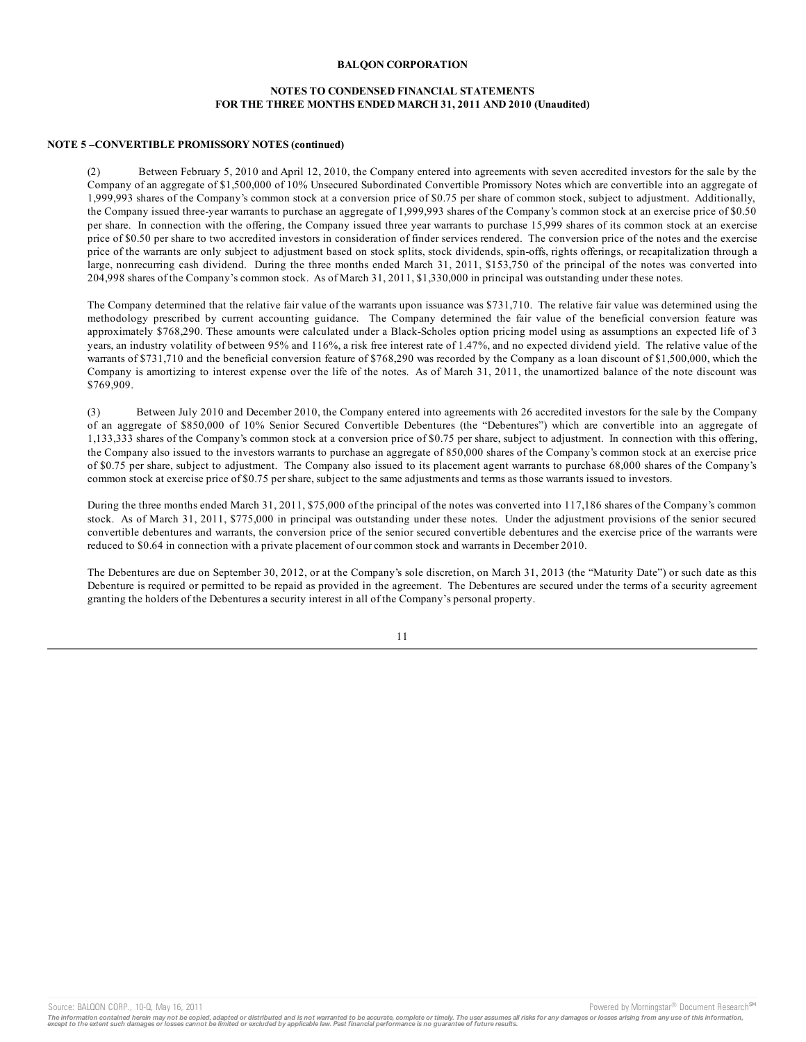## **NOTES TO CONDENSED FINANCIAL STATEMENTS FOR THE THREE MONTHS ENDED MARCH 31, 2011 AND 2010 (Unaudited)**

# **NOTE 5 –CONVERTIBLE PROMISSORY NOTES (continued)**

(2) Between February 5, 2010 and April 12, 2010, the Company entered into agreements with seven accredited investors for the sale by the Company of an aggregate of \$1,500,000 of 10% Unsecured Subordinated Convertible Promissory Notes which are convertible into an aggregate of 1,999,993 shares of the Company's common stock at a conversion price of \$0.75 per share of common stock, subject to adjustment. Additionally, the Company issued three-year warrants to purchase an aggregate of 1,999,993 shares of the Company's common stock at an exercise price of \$0.50 per share. In connection with the offering, the Company issued three year warrants to purchase 15,999 shares of its common stock at an exercise price of \$0.50 per share to two accredited investors in consideration of finder services rendered. The conversion price of the notes and the exercise price of the warrants are only subject to adjustment based on stock splits, stock dividends, spin-offs, rights offerings, or recapitalization through a large, nonrecurring cash dividend. During the three months ended March 31, 2011, \$153,750 of the principal of the notes was converted into 204,998 shares of the Company's common stock. As of March 31, 2011, \$1,330,000 in principal was outstanding under these notes.

The Company determined that the relative fair value of the warrants upon issuance was \$731,710. The relative fair value was determined using the methodology prescribed by current accounting guidance. The Company determined the fair value of the beneficial conversion feature was approximately \$768,290. These amounts were calculated under a Black-Scholes option pricing model using as assumptions an expected life of 3 years, an industry volatility of between 95% and 116%, a risk free interest rate of 1.47%, and no expected dividend yield. The relative value of the warrants of \$731,710 and the beneficial conversion feature of \$768,290 was recorded by the Company as a loan discount of \$1,500,000, which the Company is amortizing to interest expense over the life of the notes. As of March 31, 2011, the unamortized balance of the note discount was \$769,909.

(3) Between July 2010 and December 2010, the Company entered into agreements with 26 accredited investors for the sale by the Company of an aggregate of \$850,000 of 10% Senior Secured Convertible Debentures (the "Debentures") which are convertible into an aggregate of 1,133,333 shares of the Company's common stock at a conversion price of \$0.75 per share, subject to adjustment. In connection with this offering, the Company also issued to the investors warrants to purchase an aggregate of 850,000 shares of the Company's common stock at an exercise price of \$0.75 per share, subject to adjustment. The Company also issued to its placement agent warrants to purchase 68,000 shares of the Company's common stock at exercise price of \$0.75 per share, subject to the same adjustments and terms as those warrants issued to investors.

During the three months ended March 31, 2011, \$75,000 of the principal of the notes was converted into 117,186 shares of the Company's common stock. As of March 31, 2011, \$775,000 in principal was outstanding under these notes. Under the adjustment provisions of the senior secured convertible debentures and warrants, the conversion price of the senior secured convertible debentures and the exercise price of the warrants were reduced to \$0.64 in connection with a private placement of our common stock and warrants in December 2010.

The Debentures are due on September 30, 2012, or at the Company's sole discretion, on March 31, 2013 (the "Maturity Date") or such date as this Debenture is required or permitted to be repaid as provided in the agreement. The Debentures are secured under the terms of a security agreement granting the holders of the Debentures a security interest in all of the Company's personal property.

11

Source: BALQON CORP., 10-Q, May 16, 2011 **Powered by Morningstar<sup>®</sup>** Document Research<sup>SM</sup><br>
Powered by Morningstar<sup>®</sup> Document Research<sup>SM</sup>

The information contained herein may not be copied, adapted or distributed and is not warranted to be accurate, complete or timely. The user assumes all risks for any damages or losses arising from any use of this informat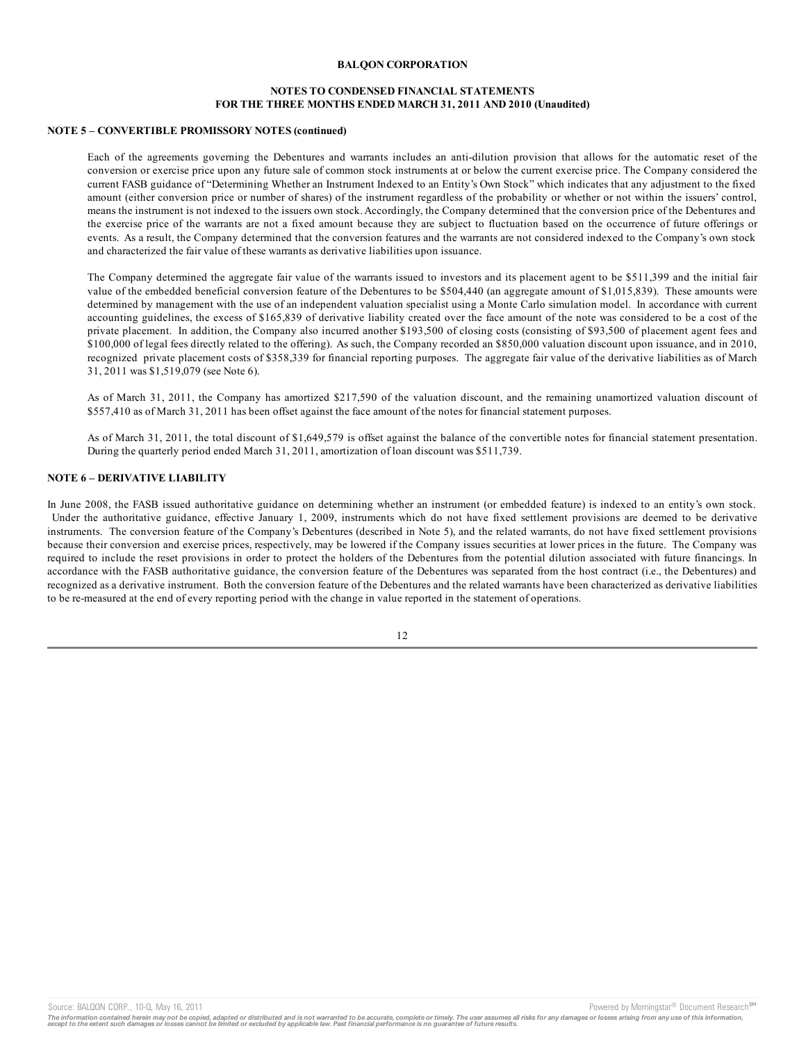# **NOTES TO CONDENSED FINANCIAL STATEMENTS FOR THE THREE MONTHS ENDED MARCH 31, 2011 AND 2010 (Unaudited)**

# **NOTE 5 – CONVERTIBLE PROMISSORY NOTES (continued)**

Each of the agreements governing the Debentures and warrants includes an anti-dilution provision that allows for the automatic reset of the conversion or exercise price upon any future sale of common stock instruments at or below the current exercise price. The Company considered the current FASB guidance of "Determining Whether an Instrument Indexed to an Entity's Own Stock" which indicates that any adjustment to the fixed amount (either conversion price or number of shares) of the instrument regardless of the probability or whether or not within the issuers' control, means the instrument is not indexed to the issuers own stock.Accordingly, the Company determined that the conversion price of the Debentures and the exercise price of the warrants are not a fixed amount because they are subject to fluctuation based on the occurrence of future offerings or events. As a result, the Company determined that the conversion features and the warrants are not considered indexed to the Company's own stock and characterized the fair value of these warrants as derivative liabilities upon issuance.

The Company determined the aggregate fair value of the warrants issued to investors and its placement agent to be \$511,399 and the initial fair value of the embedded beneficial conversion feature of the Debentures to be \$504,440 (an aggregate amount of \$1,015,839). These amounts were determined by management with the use of an independent valuation specialist using a Monte Carlo simulation model. In accordance with current accounting guidelines, the excess of \$165,839 of derivative liability created over the face amount of the note was considered to be a cost of the private placement. In addition, the Company also incurred another \$193,500 of closing costs (consisting of \$93,500 of placement agent fees and \$100,000 of legal fees directly related to the offering). As such, the Company recorded an \$850,000 valuation discount upon issuance, and in 2010, recognized private placement costs of \$358,339 for financial reporting purposes. The aggregate fair value of the derivative liabilities as of March 31, 2011 was \$1,519,079 (see Note 6).

As of March 31, 2011, the Company has amortized \$217,590 of the valuation discount, and the remaining unamortized valuation discount of \$557,410 as of March 31, 2011 has been offset against the face amount of the notes for financial statement purposes.

As of March 31, 2011, the total discount of \$1,649,579 is offset against the balance of the convertible notes for financial statement presentation. During the quarterly period ended March 31, 2011, amortization of loan discount was \$511,739.

# **NOTE 6 – DERIVATIVE LIABILITY**

In June 2008, the FASB issued authoritative guidance on determining whether an instrument (or embedded feature) is indexed to an entity's own stock. Under the authoritative guidance, effective January 1, 2009, instruments which do not have fixed settlement provisions are deemed to be derivative instruments. The conversion feature of the Company's Debentures (described in Note 5), and the related warrants, do not have fixed settlement provisions because their conversion and exercise prices, respectively, may be lowered if the Company issues securities at lower prices in the future. The Company was required to include the reset provisions in order to protect the holders of the Debentures from the potential dilution associated with future financings. In accordance with the FASB authoritative guidance, the conversion feature of the Debentures was separated from the host contract (i.e., the Debentures) and recognized as a derivative instrument. Both the conversion feature of the Debentures and the related warrants have been characterized as derivative liabilities to be re-measured at the end of every reporting period with the change in value reported in the statement of operations.



Source: BALQON CORP., 10-Q, May 16, 2011 **Provided by Morningstar® Document Research** and the second powered by Morningstar® Document Research in the second of the second powered by Morningstar® Document Research in the se

The information contained herein may not be copied, adapted or distributed and is not warranted to be accurate, complete or timely. The user assumes all risks for any damages or losses arising from any use of this informat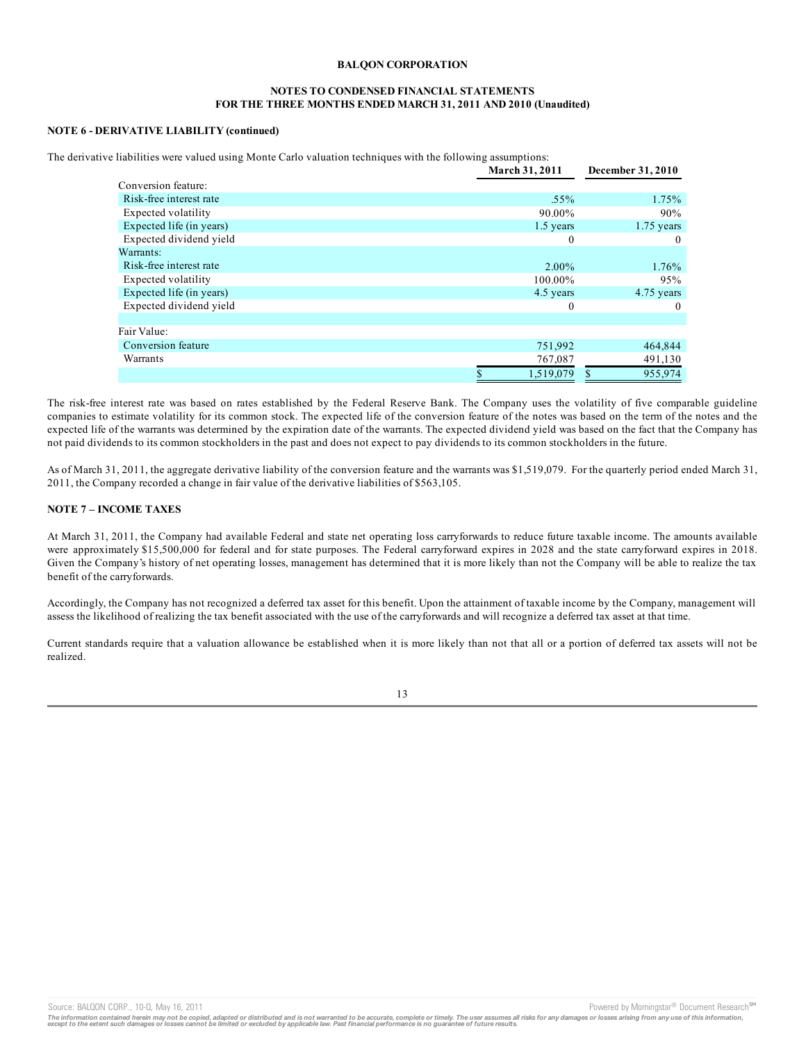## **NOTES TO CONDENSED FINANCIAL STATEMENTS FOR THE THREE MONTHS ENDED MARCH 31, 2011 AND 2010 (Unaudited)**

# **NOTE 6 - DERIVATIVE LIABILITY (continued)**

|                          | March 31, 2011 | December 31, 2010 |
|--------------------------|----------------|-------------------|
| Conversion feature:      |                |                   |
| Risk-free interest rate  | $.55\%$        | $1.75\%$          |
| Expected volatility      | 90.00%         | 90%               |
| Expected life (in years) | 1.5 years      | $1.75$ years      |
| Expected dividend yield  | $\mathbf{0}$   | $\left($          |
| Warrants:                |                |                   |
| Risk-free interest rate  | $2.00\%$       | $1.76\%$          |
| Expected volatility      | 100.00%        | 95%               |
| Expected life (in years) | 4.5 years      | 4.75 years        |
| Expected dividend yield  | $\mathbf{0}$   | $\left($          |
| Fair Value:              |                |                   |
| Conversion feature       | 751,992        | 464,844           |
| Warrants                 | 767,087        | 491,130           |
|                          | 1,519,079      | 955,974           |

The derivative liabilities were valued using Monte Carlo valuation techniques with the following assumptions:

The risk-free interest rate was based on rates established by the Federal Reserve Bank. The Company uses the volatility of five comparable guideline companies to estimate volatility for its common stock. The expected life of the conversion feature of the notes was based on the term of the notes and the expected life of the warrants was determined by the expiration date of the warrants. The expected dividend yield was based on the fact that the Company has not paid dividends to its common stockholders in the past and does not expect to pay dividends to its common stockholders in the future.

As of March 31, 2011, the aggregate derivative liability of the conversion feature and the warrants was \$1,519,079. For the quarterly period ended March 31, 2011, the Company recorded a change in fair value of the derivative liabilities of \$563,105.

# **NOTE 7 – INCOME TAXES**

At March 31, 2011, the Company had available Federal and state net operating loss carryforwards to reduce future taxable income. The amounts available were approximately \$15,500,000 for federal and for state purposes. The Federal carryforward expires in 2028 and the state carryforward expires in 2018. Given the Company's history of net operating losses, management has determined that it is more likely than not the Company will be able to realize the tax benefit of the carryforwards.

Accordingly, the Company has not recognized a deferred tax asset for this benefit. Upon the attainment of taxable income by the Company, management will assess the likelihood of realizing the tax benefit associated with the use of the carryforwards and will recognize a deferred tax asset at that time.

Current standards require that a valuation allowance be established when it is more likely than not that all or a portion of deferred tax assets will not be realized.

13

Source: BALQON CORP., 10-Q, May 16, 2011 **Powered by Morningstar® Document Research** in Powered by Morningstar® Document Research in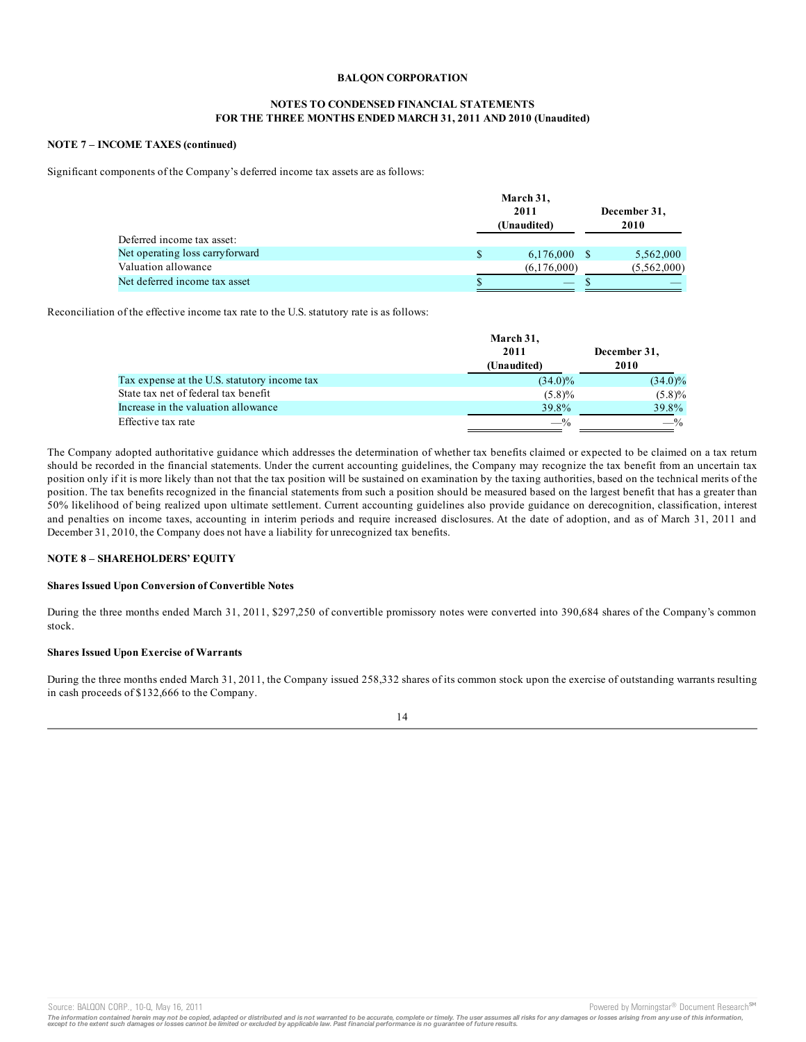### **NOTES TO CONDENSED FINANCIAL STATEMENTS FOR THE THREE MONTHS ENDED MARCH 31, 2011 AND 2010 (Unaudited)**

## **NOTE 7 – INCOME TAXES (continued)**

Significant components of the Company's deferred income tax assets are as follows:

|                                  |   | 2011<br>(Unaudited) |             |
|----------------------------------|---|---------------------|-------------|
| Deferred income tax asset:       |   |                     |             |
| Net operating loss carry forward | S | 6,176,000           | 5,562,000   |
| Valuation allowance              |   | (6,176,000)         | (5,562,000) |
| Net deferred income tax asset    |   |                     |             |

Reconciliation of the effective income tax rate to the U.S. statutory rate is as follows:

|                                              | March 31,   |              |
|----------------------------------------------|-------------|--------------|
|                                              | 2011        | December 31, |
|                                              | (Unaudited) | 2010         |
| Tax expense at the U.S. statutory income tax | $(34.0)\%$  | $(34.0)\%$   |
| State tax net of federal tax benefit         | $(5.8)\%$   | $(5.8)\%$    |
| Increase in the valuation allowance          | 39.8%       | 39.8%        |
| Effective tax rate                           | $-$ %       | $-$ %        |

The Company adopted authoritative guidance which addresses the determination of whether tax benefits claimed or expected to be claimed on a tax return should be recorded in the financial statements. Under the current accounting guidelines, the Company may recognize the tax benefit from an uncertain tax position only if it is more likely than not that the tax position will be sustained on examination by the taxing authorities, based on the technical merits of the position. The tax benefits recognized in the financial statements from such a position should be measured based on the largest benefit that has a greater than 50% likelihood of being realized upon ultimate settlement. Current accounting guidelines also provide guidance on derecognition, classification, interest and penalties on income taxes, accounting in interim periods and require increased disclosures. At the date of adoption, and as of March 31, 2011 and December 31, 2010, the Company does not have a liability for unrecognized tax benefits.

# **NOTE 8 – SHAREHOLDERS' EQUITY**

#### **Shares Issued Upon Conversion of Convertible Notes**

During the three months ended March 31, 2011, \$297,250 of convertible promissory notes were converted into 390,684 shares of the Company's common stock.

#### **Shares Issued Upon Exercise of Warrants**

During the three months ended March 31, 2011, the Company issued 258,332 shares of its common stock upon the exercise of outstanding warrants resulting in cash proceeds of \$132,666 to the Company.



Source: BALQON CORP., 10-Q, May 16, 2011 **Powered by Morningstar® Document Research** in Powered by Morningstar® Document Research **SM**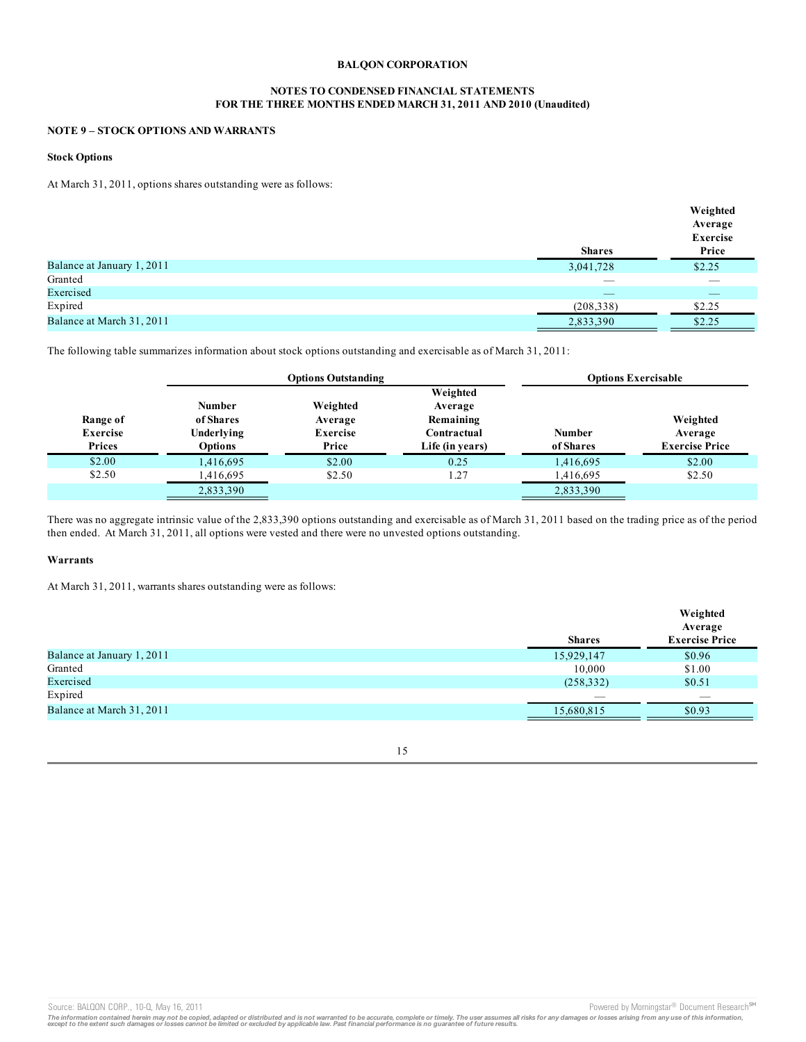## **NOTES TO CONDENSED FINANCIAL STATEMENTS FOR THE THREE MONTHS ENDED MARCH 31, 2011 AND 2010 (Unaudited)**

# **NOTE 9 – STOCK OPTIONS AND WARRANTS**

## **Stock Options**

At March 31, 2011, options shares outstanding were as follows:

|                            | <b>Shares</b> | Weighted<br>Average<br>Exercise<br>Price |
|----------------------------|---------------|------------------------------------------|
| Balance at January 1, 2011 | 3,041,728     | \$2.25                                   |
| Granted                    |               | $\overline{\phantom{a}}$                 |
| Exercised                  |               |                                          |
| Expired                    | (208, 338)    | \$2.25                                   |
| Balance at March 31, 2011  | 2,833,390     | \$2.25                                   |

The following table summarizes information about stock options outstanding and exercisable as of March 31, 2011:

|                                              | <b>Options Outstanding</b>                                 |                                          |                                                                    | <b>Options Exercisable</b> |                                              |  |
|----------------------------------------------|------------------------------------------------------------|------------------------------------------|--------------------------------------------------------------------|----------------------------|----------------------------------------------|--|
| Range of<br><b>Exercise</b><br><b>Prices</b> | <b>Number</b><br>of Shares<br>Underlying<br><b>Options</b> | Weighted<br>Average<br>Exercise<br>Price | Weighted<br>Average<br>Remaining<br>Contractual<br>Life (in years) | <b>Number</b><br>of Shares | Weighted<br>Average<br><b>Exercise Price</b> |  |
| \$2.00                                       | 1,416,695                                                  | \$2.00                                   | 0.25                                                               | 1,416,695                  | \$2.00                                       |  |
| \$2.50                                       | 1,416,695                                                  | \$2.50                                   | 1.27                                                               | 1,416,695                  | \$2.50                                       |  |
|                                              | 2,833,390                                                  |                                          |                                                                    | 2,833,390                  |                                              |  |

There was no aggregate intrinsic value of the 2,833,390 options outstanding and exercisable as of March 31, 2011 based on the trading price as of the period then ended. At March 31, 2011, all options were vested and there were no unvested options outstanding.

# **Warrants**

At March 31, 2011, warrants shares outstanding were as follows:

|                            |               | Weighted<br>Average   |
|----------------------------|---------------|-----------------------|
|                            | <b>Shares</b> | <b>Exercise Price</b> |
| Balance at January 1, 2011 | 15,929,147    | \$0.96                |
| Granted                    | 10,000        | \$1.00                |
| Exercised                  | (258, 332)    | \$0.51                |
| Expired                    | __            | __                    |
| Balance at March 31, 2011  | 15,680,815    | \$0.93                |

15

Source: BALQON CORP., 10-Q, May 16, 2011 **Powered by Morningstar® Document Research** in Powered by Morningstar® Document Research in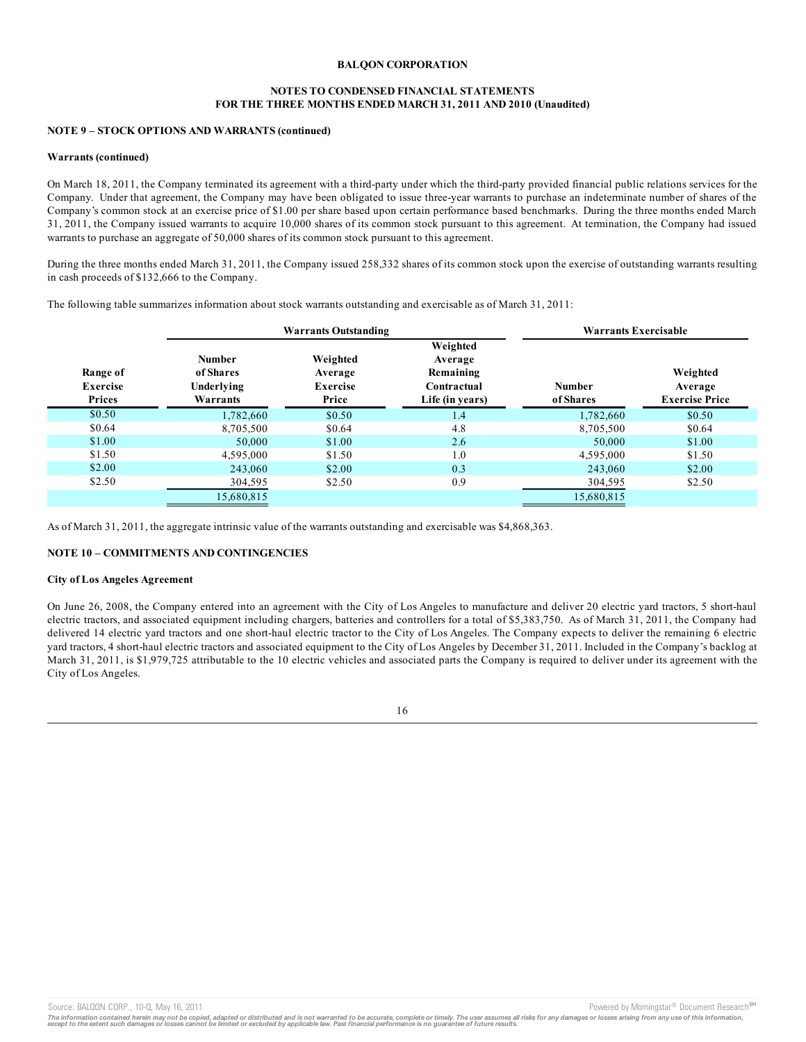# **NOTES TO CONDENSED FINANCIAL STATEMENTS FOR THE THREE MONTHS ENDED MARCH 31, 2011 AND 2010 (Unaudited)**

# **NOTE 9 – STOCK OPTIONS AND WARRANTS (continued)**

#### **Warrants (continued)**

On March 18, 2011, the Company terminated its agreement with a third-party under which the third-party provided financial public relations services for the Company. Under that agreement, the Company may have been obligated to issue three-year warrants to purchase an indeterminate number of shares of the Company's common stock at an exercise price of \$1.00 per share based upon certain performance based benchmarks. During the three months ended March 31, 2011, the Company issued warrants to acquire 10,000 shares of its common stock pursuant to this agreement. At termination, the Company had issued warrants to purchase an aggregate of 50,000 shares of its common stock pursuant to this agreement.

During the three months ended March 31, 2011, the Company issued 258,332 shares of its common stock upon the exercise of outstanding warrants resulting in cash proceeds of \$132,666 to the Company.

|                                              |                                                      | <b>Warrants Outstanding</b>              | <b>Warrants Exercisable</b>                                        |                            |                                              |
|----------------------------------------------|------------------------------------------------------|------------------------------------------|--------------------------------------------------------------------|----------------------------|----------------------------------------------|
| Range of<br><b>Exercise</b><br><b>Prices</b> | <b>Number</b><br>of Shares<br>Underlying<br>Warrants | Weighted<br>Average<br>Exercise<br>Price | Weighted<br>Average<br>Remaining<br>Contractual<br>Life (in years) | <b>Number</b><br>of Shares | Weighted<br>Average<br><b>Exercise Price</b> |
| \$0.50                                       | 1,782,660                                            | \$0.50                                   | 1.4                                                                | 1.782.660                  | \$0.50                                       |
| \$0.64                                       | 8,705,500                                            | \$0.64                                   | 4.8                                                                | 8.705.500                  | \$0.64                                       |
| \$1.00                                       | 50,000                                               | \$1.00                                   | 2.6                                                                | 50,000                     | \$1.00                                       |
| \$1.50                                       | 4,595,000                                            | \$1.50                                   | 1.0                                                                | 4,595,000                  | \$1.50                                       |
| \$2.00                                       | 243,060                                              | \$2.00                                   | 0.3                                                                | 243,060                    | \$2.00                                       |
| \$2.50                                       | 304,595                                              | \$2.50                                   | 0.9                                                                | 304,595                    | \$2.50                                       |
|                                              | 15.680.815                                           |                                          |                                                                    | 15.680.815                 |                                              |

The following table summarizes information about stock warrants outstanding and exercisable as of March 31, 2011:

As of March 31, 2011, the aggregate intrinsic value of the warrants outstanding and exercisable was \$4,868,363.

# **NOTE 10 – COMMITMENTS AND CONTINGENCIES**

#### **City of Los Angeles Agreement**

On June 26, 2008, the Company entered into an agreement with the City of Los Angeles to manufacture and deliver 20 electric yard tractors, 5 short-haul electric tractors, and associated equipment including chargers, batteries and controllers for a total of \$5,383,750. As of March 31, 2011, the Company had delivered 14 electric yard tractors and one short-haul electric tractor to the City of Los Angeles. The Company expects to deliver the remaining 6 electric yard tractors, 4 short-haul electric tractors and associated equipment to the City of Los Angeles by December 31, 2011. Included in the Company's backlog at March 31, 2011, is \$1,979,725 attributable to the 10 electric vehicles and associated parts the Company is required to deliver under its agreement with the City of Los Angeles.



Source: BALQON CORP., 10-Q, May 16, 2011 **Powered by Morningstar<sup>®</sup>** Document Research<sup>SM</sup><br>
Powered by Morningstar<sup>®</sup> Document Research<sup>SM</sup>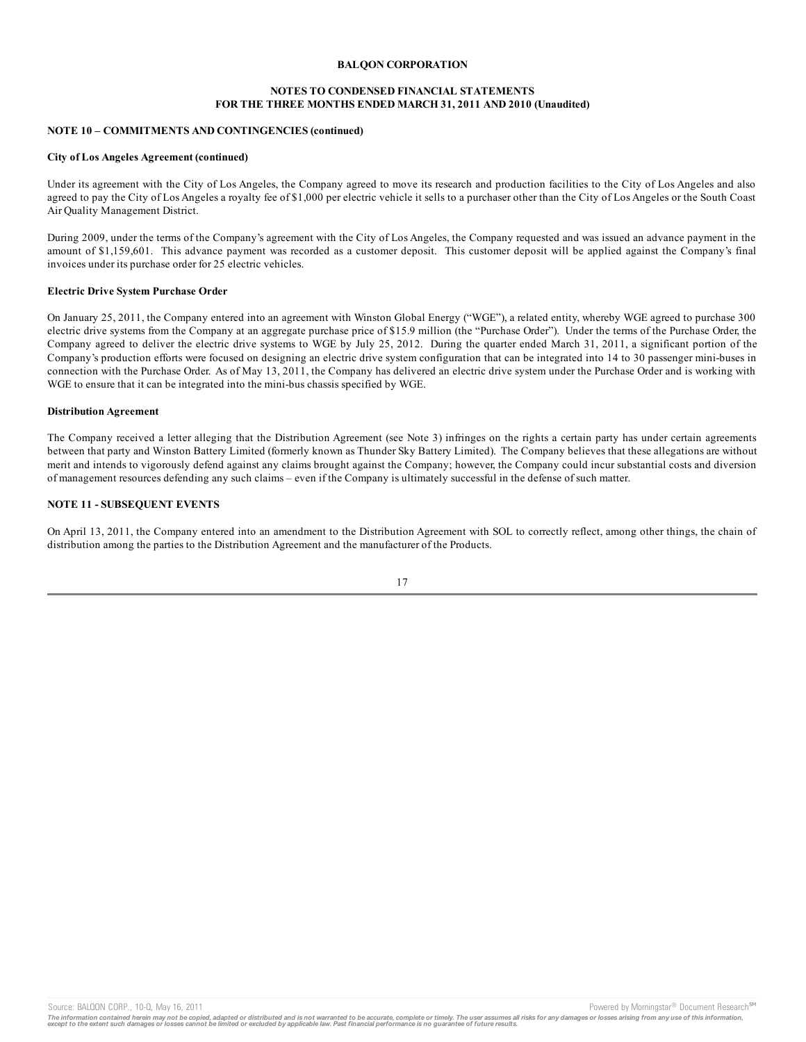# **NOTES TO CONDENSED FINANCIAL STATEMENTS FOR THE THREE MONTHS ENDED MARCH 31, 2011 AND 2010 (Unaudited)**

# **NOTE 10 – COMMITMENTS AND CONTINGENCIES (continued)**

#### **City of Los Angeles Agreement (continued)**

Under its agreement with the City of Los Angeles, the Company agreed to move its research and production facilities to the City of Los Angeles and also agreed to pay the City of Los Angeles a royalty fee of \$1,000 per electric vehicle it sells to a purchaser other than the City of Los Angeles or the South Coast Air Quality Management District.

During 2009, under the terms of the Company's agreement with the City of Los Angeles, the Company requested and was issued an advance payment in the amount of \$1,159,601. This advance payment was recorded as a customer deposit. This customer deposit will be applied against the Company's final invoices under its purchase order for 25 electric vehicles.

#### **Electric Drive System Purchase Order**

On January 25, 2011, the Company entered into an agreement with Winston Global Energy ("WGE"), a related entity, whereby WGE agreed to purchase 300 electric drive systems from the Company at an aggregate purchase price of \$15.9 million (the "Purchase Order"). Under the terms of the Purchase Order, the Company agreed to deliver the electric drive systems to WGE by July 25, 2012. During the quarter ended March 31, 2011, a significant portion of the Company's production efforts were focused on designing an electric drive system configuration that can be integrated into 14 to 30 passenger mini-buses in connection with the Purchase Order. As of May 13, 2011, the Company has delivered an electric drive system under the Purchase Order and is working with WGE to ensure that it can be integrated into the mini-bus chassis specified by WGE.

# **Distribution Agreement**

The Company received a letter alleging that the Distribution Agreement (see Note 3) infringes on the rights a certain party has under certain agreements between that party and Winston Battery Limited (formerly known as Thunder Sky Battery Limited). The Company believes that these allegations are without merit and intends to vigorously defend against any claims brought against the Company; however, the Company could incur substantial costs and diversion of management resources defending any such claims – even if the Company is ultimately successful in the defense of such matter.

# **NOTE 11 - SUBSEQUENT EVENTS**

On April 13, 2011, the Company entered into an amendment to the Distribution Agreement with SOL to correctly reflect, among other things, the chain of distribution among the parties to the Distribution Agreement and the manufacturer of the Products.



Source: BALQON CORP., 10-Q, May 16, 2011 **Powered by Morningstar® Document Research** in Powered by Morningstar® Document Research in

The information contained herein may not be copied, adapted or distributed and is not warranted to be accurate, complete or timely. The user assumes all risks for any damages or losses arising from any use of this informat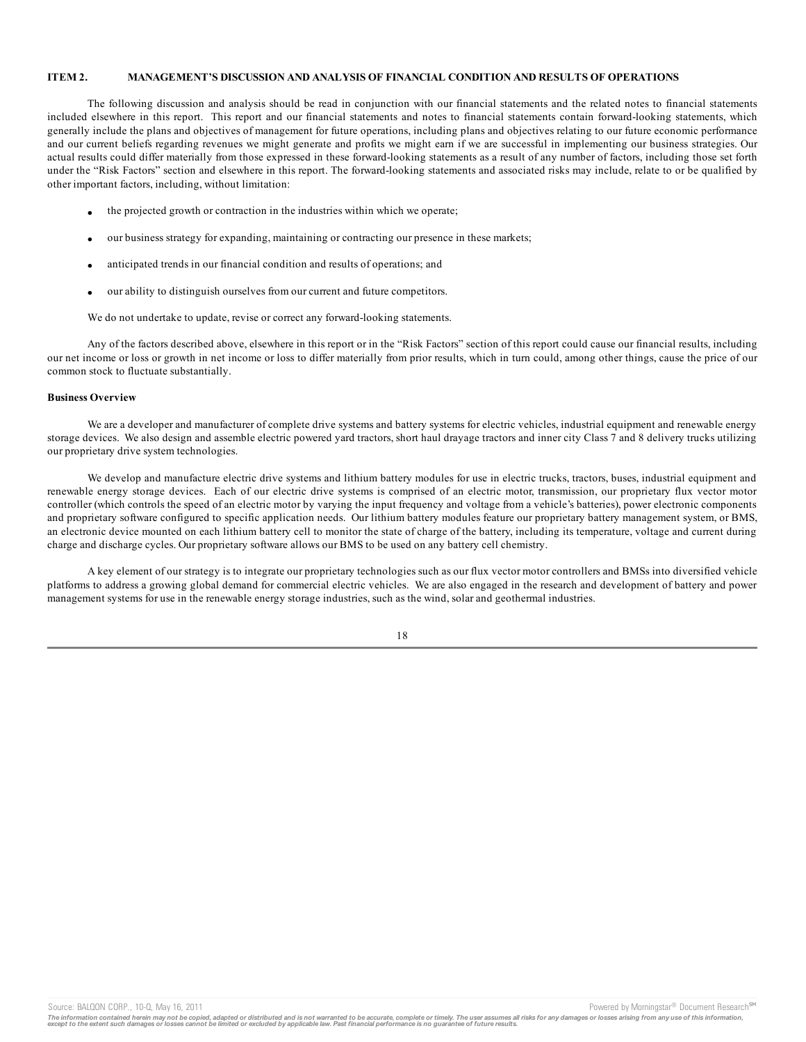# **ITEM 2. MANAGEMENT'S DISCUSSION AND ANALYSIS OF FINANCIAL CONDITION AND RESULTS OF OPERATIONS**

The following discussion and analysis should be read in conjunction with our financial statements and the related notes to financial statements included elsewhere in this report. This report and our financial statements and notes to financial statements contain forward-looking statements, which generally include the plans and objectives of management for future operations, including plans and objectives relating to our future economic performance and our current beliefs regarding revenues we might generate and profits we might earn if we are successful in implementing our business strategies. Our actual results could differ materially from those expressed in these forward-looking statements as a result of any number of factors, including those set forth under the "Risk Factors" section and elsewhere in this report. The forward-looking statements and associated risks may include, relate to or be qualified by other important factors, including, without limitation:

- the projected growth or contraction in the industries within which we operate;
- · our business strategy for expanding, maintaining or contracting our presence in these markets;
- anticipated trends in our financial condition and results of operations; and
- our ability to distinguish ourselves from our current and future competitors.

We do not undertake to update, revise or correct any forward-looking statements.

Any of the factors described above, elsewhere in this report or in the "Risk Factors" section of this report could cause our financial results, including our net income or loss or growth in net income or loss to differ materially from prior results, which in turn could, among other things, cause the price of our common stock to fluctuate substantially.

# **Business Overview**

We are a developer and manufacturer of complete drive systems and battery systems for electric vehicles, industrial equipment and renewable energy storage devices. We also design and assemble electric powered yard tractors, short haul drayage tractors and inner city Class 7 and 8 delivery trucks utilizing our proprietary drive system technologies.

We develop and manufacture electric drive systems and lithium battery modules for use in electric trucks, tractors, buses, industrial equipment and renewable energy storage devices. Each of our electric drive systems is comprised of an electric motor, transmission, our proprietary flux vector motor controller (which controls the speed of an electric motor by varying the input frequency and voltage from a vehicle's batteries), power electronic components and proprietary software configured to specific application needs. Our lithium battery modules feature our proprietary battery management system, or BMS, an electronic device mounted on each lithium battery cell to monitor the state of charge of the battery, including its temperature, voltage and current during charge and discharge cycles. Our proprietary software allows our BMS to be used on any battery cell chemistry.

A key element of our strategy is to integrate our proprietary technologies such as our flux vector motor controllers and BMSs into diversified vehicle platforms to address a growing global demand for commercial electric vehicles. We are also engaged in the research and development of battery and power management systems for use in the renewable energy storage industries, such as the wind, solar and geothermal industries.



Source: BALQON CORP., 10-Q, May 16, 2011 **Powered by Morningstar® Document Research** in Powered by Morningstar® Document Research in

The information contained herein may not be copied, adapted or distributed and is not warranted to be accurate, complete or timely. The user assumes all risks for any damages or losses arising from any use of this informat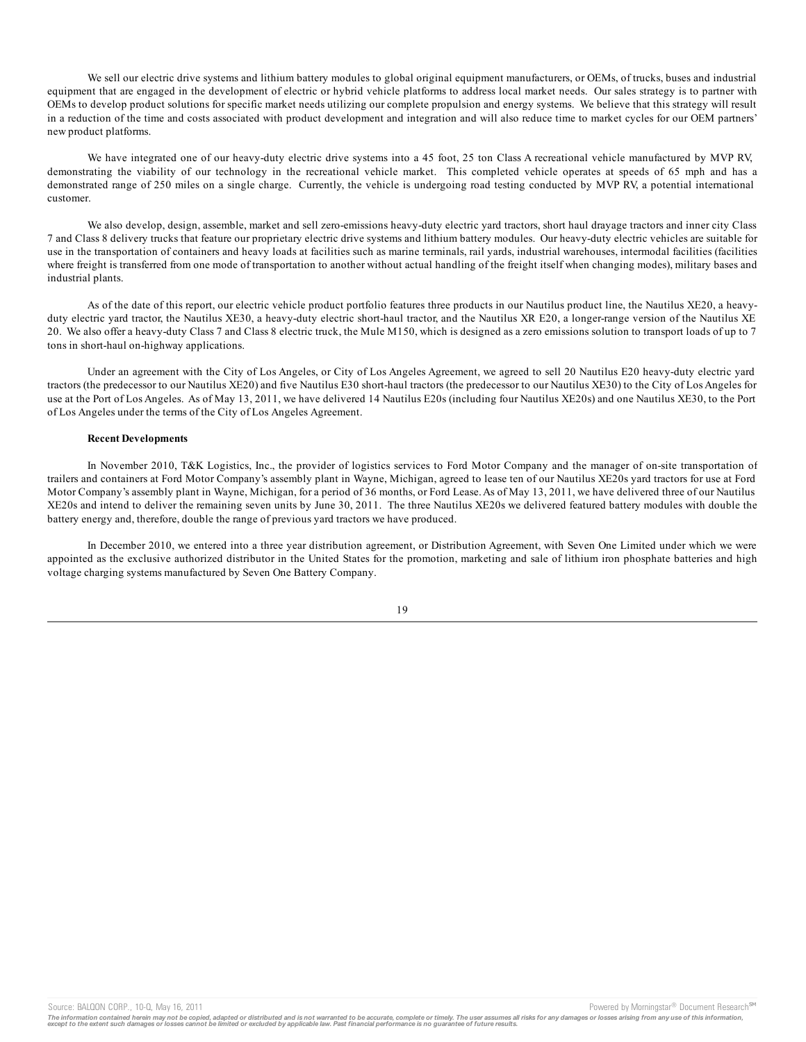We sell our electric drive systems and lithium battery modules to global original equipment manufacturers, or OEMs, of trucks, buses and industrial equipment that are engaged in the development of electric or hybrid vehicle platforms to address local market needs. Our sales strategy is to partner with OEMs to develop product solutions for specific market needs utilizing our complete propulsion and energy systems. We believe that this strategy will result in a reduction of the time and costs associated with product development and integration and will also reduce time to market cycles for our OEM partners' new product platforms.

We have integrated one of our heavy-duty electric drive systems into a 45 foot, 25 ton Class A recreational vehicle manufactured by MVP RV, demonstrating the viability of our technology in the recreational vehicle market. This completed vehicle operates at speeds of 65 mph and has a demonstrated range of 250 miles on a single charge. Currently, the vehicle is undergoing road testing conducted by MVP RV, a potential international customer.

We also develop, design, assemble, market and sell zero-emissions heavy-duty electric yard tractors, short haul drayage tractors and inner city Class 7 and Class 8 delivery trucks that feature our proprietary electric drive systems and lithium battery modules. Our heavy-duty electric vehicles are suitable for use in the transportation of containers and heavy loads at facilities such as marine terminals, rail yards, industrial warehouses, intermodal facilities (facilities where freight is transferred from one mode of transportation to another without actual handling of the freight itself when changing modes), military bases and industrial plants.

As of the date of this report, our electric vehicle product portfolio features three products in our Nautilus product line, the Nautilus XE20, a heavyduty electric yard tractor, the Nautilus XE30, a heavy-duty electric short-haul tractor, and the Nautilus XR E20, a longer-range version of the Nautilus XE 20. We also offer a heavy-duty Class 7 and Class 8 electric truck, the Mule M150, which is designed as a zero emissions solution to transport loads of up to 7 tons in short-haul on-highway applications.

Under an agreement with the City of Los Angeles, or City of Los Angeles Agreement, we agreed to sell 20 Nautilus E20 heavy-duty electric yard tractors (the predecessor to our Nautilus XE20) and five Nautilus E30 short-haul tractors (the predecessor to our Nautilus XE30) to the City of Los Angeles for use at the Port of Los Angeles. As of May 13, 2011, we have delivered 14 Nautilus E20s (including four Nautilus XE20s) and one Nautilus XE30, to the Port of Los Angeles under the terms of the City of Los Angeles Agreement.

#### **Recent Developments**

In November 2010, T&K Logistics, Inc., the provider of logistics services to Ford Motor Company and the manager of on-site transportation of trailers and containers at Ford Motor Company's assembly plant in Wayne, Michigan, agreed to lease ten of our Nautilus XE20s yard tractors for use at Ford Motor Company's assembly plant in Wayne, Michigan, for a period of 36 months, or Ford Lease.As of May 13, 2011, we have delivered three of our Nautilus XE20s and intend to deliver the remaining seven units by June 30, 2011. The three Nautilus XE20s we delivered featured battery modules with double the battery energy and, therefore, double the range of previous yard tractors we have produced.

In December 2010, we entered into a three year distribution agreement, or Distribution Agreement, with Seven One Limited under which we were appointed as the exclusive authorized distributor in the United States for the promotion, marketing and sale of lithium iron phosphate batteries and high voltage charging systems manufactured by Seven One Battery Company.

19

Source: BALQON CORP., 10-Q, May 16, 2011 **Powered by Morningstar® Document Research** in Powered by Morningstar® Document Research in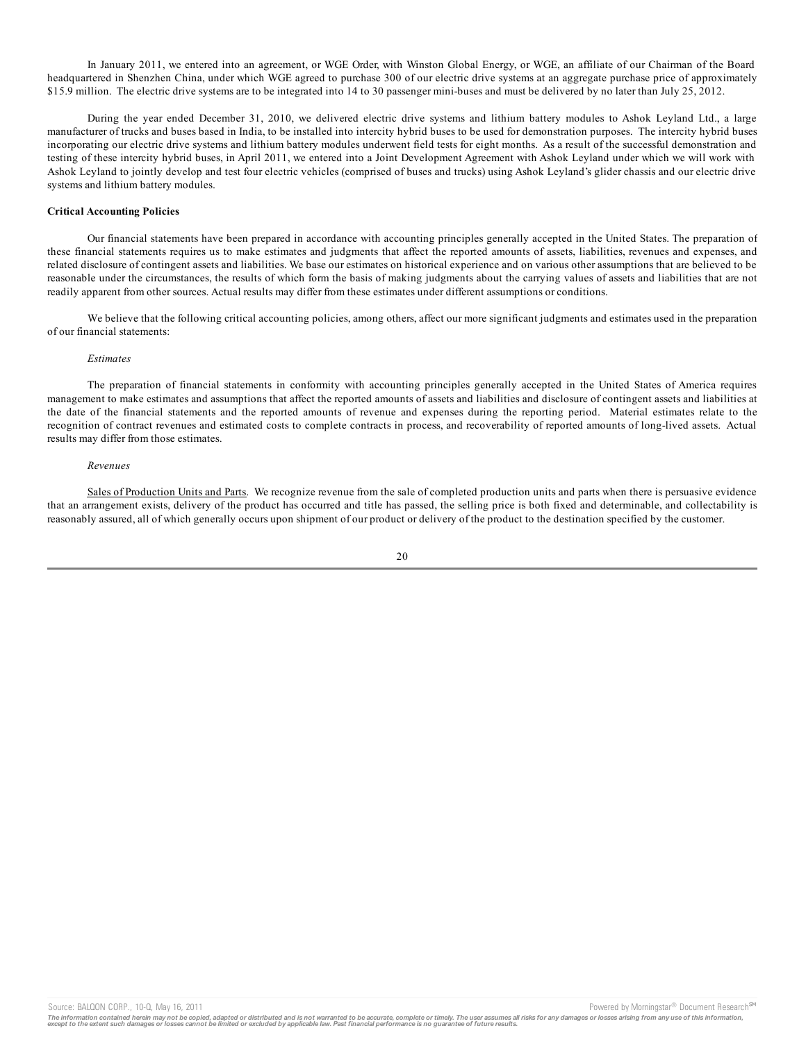In January 2011, we entered into an agreement, or WGE Order, with Winston Global Energy, or WGE, an affiliate of our Chairman of the Board headquartered in Shenzhen China, under which WGE agreed to purchase 300 of our electric drive systems at an aggregate purchase price of approximately \$15.9 million. The electric drive systems are to be integrated into 14 to 30 passenger mini-buses and must be delivered by no later than July 25, 2012.

During the year ended December 31, 2010, we delivered electric drive systems and lithium battery modules to Ashok Leyland Ltd., a large manufacturer of trucks and buses based in India, to be installed into intercity hybrid buses to be used for demonstration purposes. The intercity hybrid buses incorporating our electric drive systems and lithium battery modules underwent field tests for eight months. As a result of the successful demonstration and testing of these intercity hybrid buses, in April 2011, we entered into a Joint Development Agreement with Ashok Leyland under which we will work with Ashok Leyland to jointly develop and test four electric vehicles (comprised of buses and trucks) using Ashok Leyland's glider chassis and our electric drive systems and lithium battery modules.

## **Critical Accounting Policies**

Our financial statements have been prepared in accordance with accounting principles generally accepted in the United States. The preparation of these financial statements requires us to make estimates and judgments that affect the reported amounts of assets, liabilities, revenues and expenses, and related disclosure of contingent assets and liabilities. We base our estimates on historical experience and on various other assumptions that are believed to be reasonable under the circumstances, the results of which form the basis of making judgments about the carrying values of assets and liabilities that are not readily apparent from other sources. Actual results may differ from these estimates under different assumptions or conditions.

We believe that the following critical accounting policies, among others, affect our more significant judgments and estimates used in the preparation of our financial statements:

#### *Estimates*

The preparation of financial statements in conformity with accounting principles generally accepted in the United States of America requires management to make estimates and assumptions that affect the reported amounts of assets and liabilities and disclosure of contingent assets and liabilities at the date of the financial statements and the reported amounts of revenue and expenses during the reporting period. Material estimates relate to the recognition of contract revenues and estimated costs to complete contracts in process, and recoverability of reported amounts of long-lived assets. Actual results may differ from those estimates.

#### *Revenues*

Sales of Production Units and Parts. We recognize revenue from the sale of completed production units and parts when there is persuasive evidence that an arrangement exists, delivery of the product has occurred and title has passed, the selling price is both fixed and determinable, and collectability is reasonably assured, all of which generally occurs upon shipment of our product or delivery of the product to the destination specified by the customer.

Source: BALQON CORP., 10-Q, May 16, 2011 **Proverse and Source: BALQON CORP.** Powered by Morningstar<sup>®</sup> Document Research Stream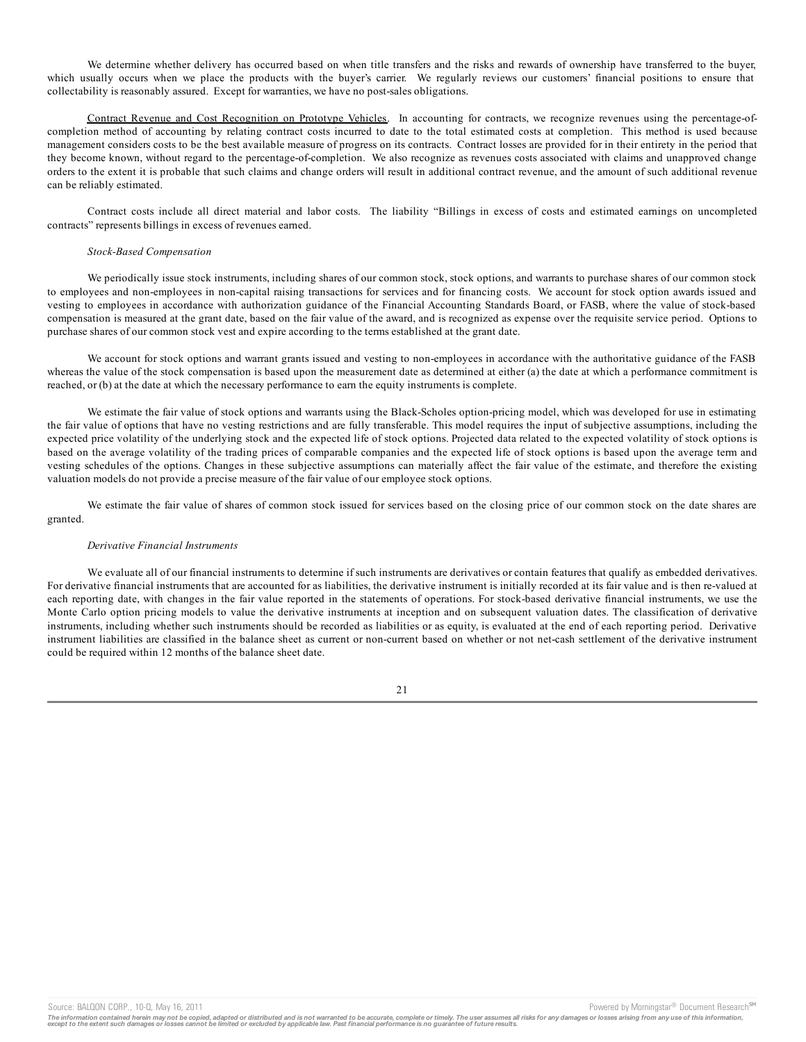We determine whether delivery has occurred based on when title transfers and the risks and rewards of ownership have transferred to the buyer, which usually occurs when we place the products with the buyer's carrier. We regularly reviews our customers' financial positions to ensure that collectability is reasonably assured. Except for warranties, we have no post-sales obligations.

Contract Revenue and Cost Recognition on Prototype Vehicles. In accounting for contracts, we recognize revenues using the percentage-ofcompletion method of accounting by relating contract costs incurred to date to the total estimated costs at completion. This method is used because management considers costs to be the best available measure of progress on its contracts. Contract losses are provided for in their entirety in the period that they become known, without regard to the percentage-of-completion. We also recognize as revenues costs associated with claims and unapproved change orders to the extent it is probable that such claims and change orders will result in additional contract revenue, and the amount of such additional revenue can be reliably estimated.

Contract costs include all direct material and labor costs. The liability "Billings in excess of costs and estimated earnings on uncompleted contracts" represents billings in excess of revenues earned.

#### *Stock-Based Compensation*

We periodically issue stock instruments, including shares of our common stock, stock options, and warrants to purchase shares of our common stock to employees and non-employees in non-capital raising transactions for services and for financing costs. We account for stock option awards issued and vesting to employees in accordance with authorization guidance of the Financial Accounting Standards Board, or FASB, where the value of stock-based compensation is measured at the grant date, based on the fair value of the award, and is recognized as expense over the requisite service period. Options to purchase shares of our common stock vest and expire according to the terms established at the grant date.

We account for stock options and warrant grants issued and vesting to non-employees in accordance with the authoritative guidance of the FASB whereas the value of the stock compensation is based upon the measurement date as determined at either (a) the date at which a performance commitment is reached, or (b) at the date at which the necessary performance to earn the equity instruments is complete.

We estimate the fair value of stock options and warrants using the Black-Scholes option-pricing model, which was developed for use in estimating the fair value of options that have no vesting restrictions and are fully transferable. This model requires the input of subjective assumptions, including the expected price volatility of the underlying stock and the expected life of stock options. Projected data related to the expected volatility of stock options is based on the average volatility of the trading prices of comparable companies and the expected life of stock options is based upon the average term and vesting schedules of the options. Changes in these subjective assumptions can materially affect the fair value of the estimate, and therefore the existing valuation models do not provide a precise measure of the fair value of our employee stock options.

We estimate the fair value of shares of common stock issued for services based on the closing price of our common stock on the date shares are granted.

#### *Derivative Financial Instruments*

We evaluate all of our financial instruments to determine if such instruments are derivatives or contain features that qualify as embedded derivatives. For derivative financial instruments that are accounted for as liabilities, the derivative instrument is initially recorded at its fair value and is then re-valued at each reporting date, with changes in the fair value reported in the statements of operations. For stock-based derivative financial instruments, we use the Monte Carlo option pricing models to value the derivative instruments at inception and on subsequent valuation dates. The classification of derivative instruments, including whether such instruments should be recorded as liabilities or as equity, is evaluated at the end of each reporting period. Derivative instrument liabilities are classified in the balance sheet as current or non-current based on whether or not net-cash settlement of the derivative instrument could be required within 12 months of the balance sheet date.

 $21$ 

Source: BALQON CORP., 10-Q, May 16, 2011 **Powered by Morningstar® Document Research** in Powered by Morningstar® Document Research in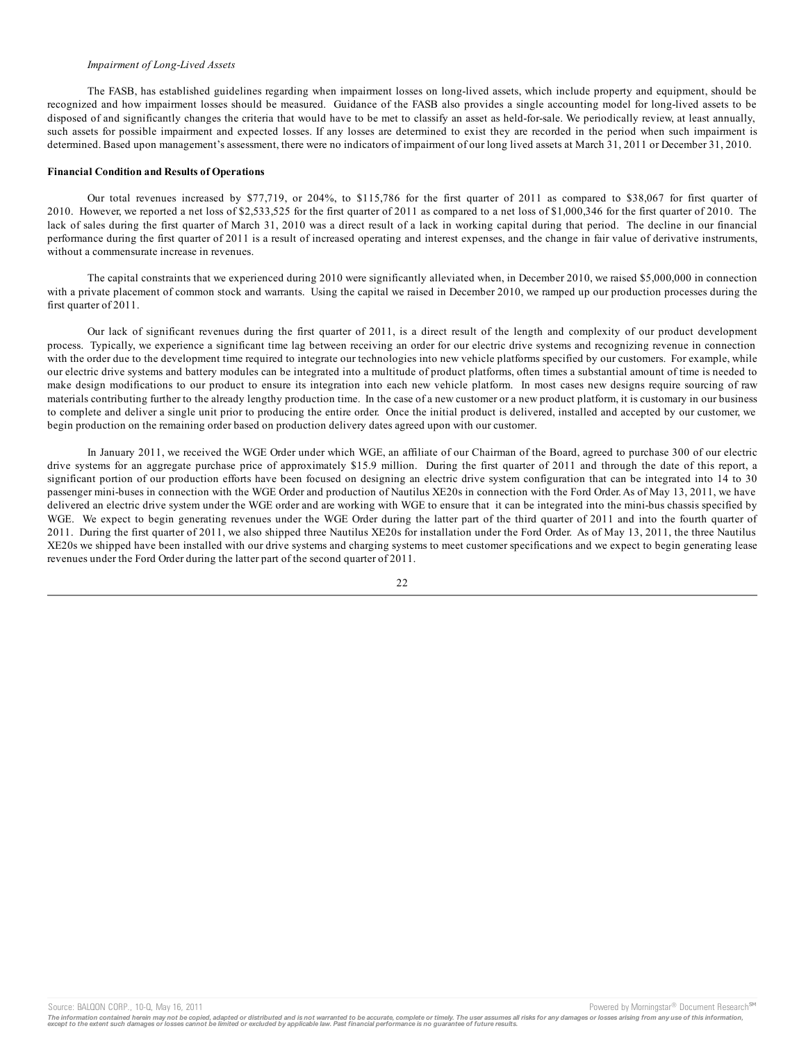#### *Impairment of Long-Lived Assets*

The FASB, has established guidelines regarding when impairment losses on long-lived assets, which include property and equipment, should be recognized and how impairment losses should be measured. Guidance of the FASB also provides a single accounting model for long-lived assets to be disposed of and significantly changes the criteria that would have to be met to classify an asset as held-for-sale. We periodically review, at least annually, such assets for possible impairment and expected losses. If any losses are determined to exist they are recorded in the period when such impairment is determined. Based upon management's assessment, there were no indicators of impairment of our long lived assets at March 31, 2011 or December 31, 2010.

#### **Financial Condition and Results of Operations**

Our total revenues increased by \$77,719, or 204%, to \$115,786 for the first quarter of 2011 as compared to \$38,067 for first quarter of 2010. However, we reported a net loss of \$2,533,525 for the first quarter of 2011 as compared to a net loss of \$1,000,346 for the first quarter of 2010. The lack of sales during the first quarter of March 31, 2010 was a direct result of a lack in working capital during that period. The decline in our financial performance during the first quarter of 2011 is a result of increased operating and interest expenses, and the change in fair value of derivative instruments, without a commensurate increase in revenues.

The capital constraints that we experienced during 2010 were significantly alleviated when, in December 2010, we raised \$5,000,000 in connection with a private placement of common stock and warrants. Using the capital we raised in December 2010, we ramped up our production processes during the first quarter of 2011.

Our lack of significant revenues during the first quarter of 2011, is a direct result of the length and complexity of our product development process. Typically, we experience a significant time lag between receiving an order for our electric drive systems and recognizing revenue in connection with the order due to the development time required to integrate our technologies into new vehicle platforms specified by our customers. For example, while our electric drive systems and battery modules can be integrated into a multitude of product platforms, often times a substantial amount of time is needed to make design modifications to our product to ensure its integration into each new vehicle platform. In most cases new designs require sourcing of raw materials contributing further to the already lengthy production time. In the case of a new customer or a new product platform, it is customary in our business to complete and deliver a single unit prior to producing the entire order. Once the initial product is delivered, installed and accepted by our customer, we begin production on the remaining order based on production delivery dates agreed upon with our customer.

In January 2011, we received the WGE Order under which WGE, an affiliate of our Chairman of the Board, agreed to purchase 300 of our electric drive systems for an aggregate purchase price of approximately \$15.9 million. During the first quarter of 2011 and through the date of this report, a significant portion of our production efforts have been focused on designing an electric drive system configuration that can be integrated into 14 to 30 passenger mini-buses in connection with the WGE Order and production of Nautilus XE20s in connection with the Ford Order. As of May 13, 2011, we have delivered an electric drive system under the WGE order and are working with WGE to ensure that it can be integrated into the mini-bus chassis specified by WGE. We expect to begin generating revenues under the WGE Order during the latter part of the third quarter of 2011 and into the fourth quarter of 2011. During the first quarter of 2011, we also shipped three Nautilus XE20s for installation under the Ford Order. As of May 13, 2011, the three Nautilus XE20s we shipped have been installed with our drive systems and charging systems to meet customer specifications and we expect to begin generating lease revenues under the Ford Order during the latter part of the second quarter of 2011.



Source: BALQON CORP., 10-Q, May 16, 2011 **Powered by Morningstar® Document Research** in Powered by Morningstar® Document Research in

The information contained herein may not be copied, adapted or distributed and is not warranted to be accurate, complete or timely. The user assumes all risks for any damages or losses arising from any use of this informat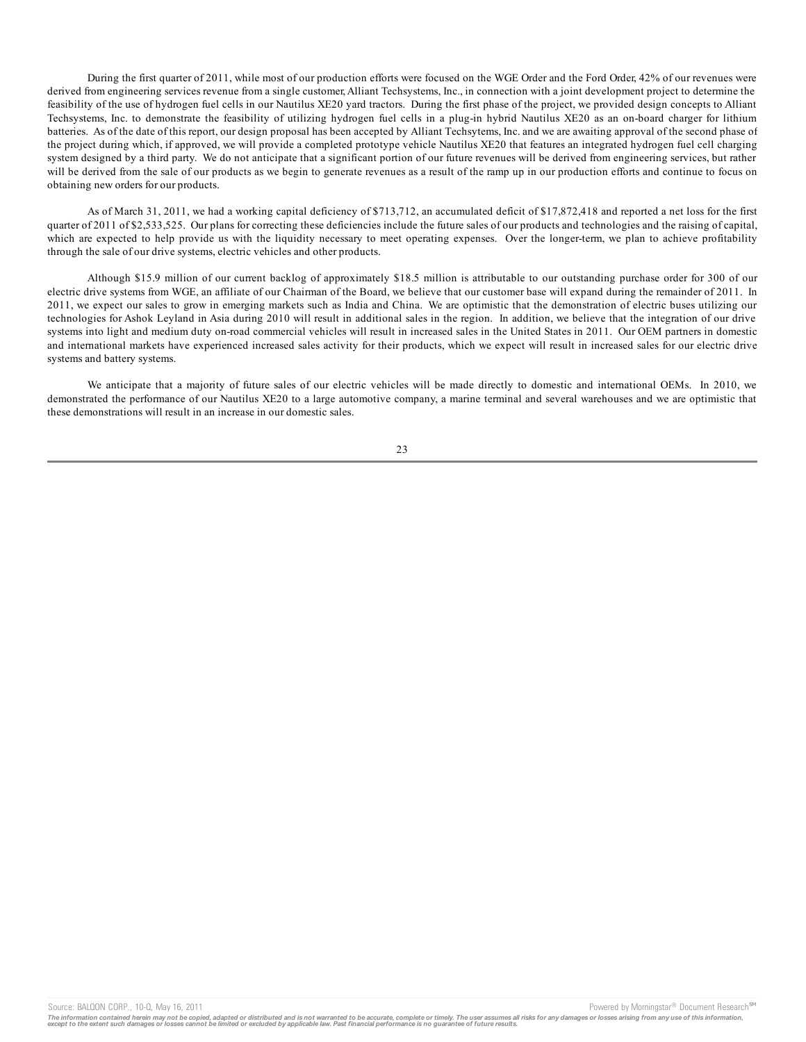During the first quarter of 2011, while most of our production efforts were focused on the WGE Order and the Ford Order, 42% of our revenues were derived from engineering services revenue from a single customer, Alliant Techsystems, Inc., in connection with a joint development project to determine the feasibility of the use of hydrogen fuel cells in our Nautilus XE20 yard tractors. During the first phase of the project, we provided design concepts to Alliant Techsystems, Inc. to demonstrate the feasibility of utilizing hydrogen fuel cells in a plug-in hybrid Nautilus XE20 as an on-board charger for lithium batteries. As of the date of this report, our design proposal has been accepted by Alliant Techsytems, Inc. and we are awaiting approval of the second phase of the project during which, if approved, we will provide a completed prototype vehicle Nautilus XE20 that features an integrated hydrogen fuel cell charging system designed by a third party. We do not anticipate that a significant portion of our future revenues will be derived from engineering services, but rather will be derived from the sale of our products as we begin to generate revenues as a result of the ramp up in our production efforts and continue to focus on obtaining new orders for our products.

As of March 31, 2011, we had a working capital deficiency of \$713,712, an accumulated deficit of \$17,872,418 and reported a net loss for the first quarter of 2011 of \$2,533,525. Our plans for correcting these deficiencies include the future sales of our products and technologies and the raising of capital, which are expected to help provide us with the liquidity necessary to meet operating expenses. Over the longer-term, we plan to achieve profitability through the sale of our drive systems, electric vehicles and other products.

Although \$15.9 million of our current backlog of approximately \$18.5 million is attributable to our outstanding purchase order for 300 of our electric drive systems from WGE, an affiliate of our Chairman of the Board, we believe that our customer base will expand during the remainder of 2011. In 2011, we expect our sales to grow in emerging markets such as India and China. We are optimistic that the demonstration of electric buses utilizing our technologies for Ashok Leyland in Asia during 2010 will result in additional sales in the region. In addition, we believe that the integration of our drive systems into light and medium duty on-road commercial vehicles will result in increased sales in the United States in 2011. Our OEM partners in domestic and international markets have experienced increased sales activity for their products, which we expect will result in increased sales for our electric drive systems and battery systems.

We anticipate that a majority of future sales of our electric vehicles will be made directly to domestic and international OEMs. In 2010, we demonstrated the performance of our Nautilus XE20 to a large automotive company, a marine terminal and several warehouses and we are optimistic that these demonstrations will result in an increase in our domestic sales.

23

Source: BALQON CORP., 10-Q, May 16, 2011 **Powered by Morningstar® Document Research** in Powered by Morningstar® Document Research in

The information contained herein may not be copied, adapted or distributed and is not warranted to be accurate, complete or timely. The user assumes all risks for any damages or losses arising from any use of this informat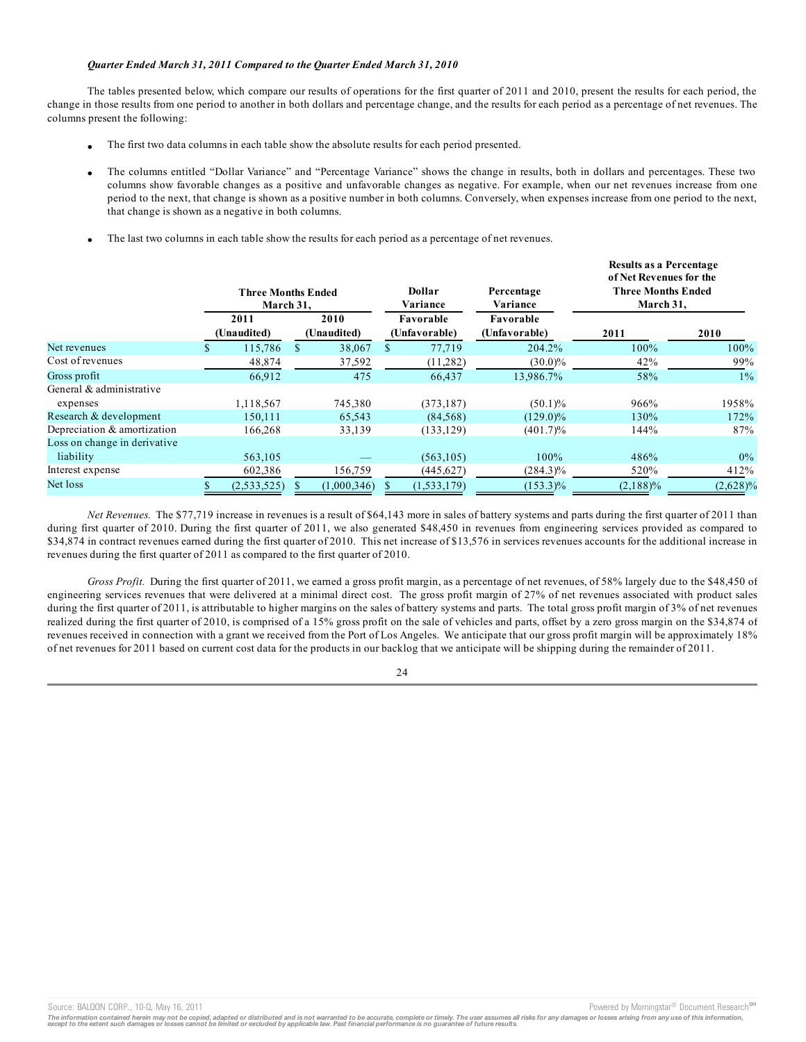# *Quarter Ended March 31, 2011 Compared to the Quarter Ended March 31, 2010*

The tables presented below, which compare our results of operations for the first quarter of 2011 and 2010, present the results for each period, the change in those results from one period to another in both dollars and percentage change, and the results for each period as a percentage of net revenues. The columns present the following:

- The first two data columns in each table show the absolute results for each period presented.
- · The columns entitled "Dollar Variance" and "Percentage Variance" shows the change in results, both in dollars and percentages. These two columns show favorable changes as a positive and unfavorable changes as negative. For example, when our net revenues increase from one period to the next, that change is shown as a positive number in both columns. Conversely, when expenses increase from one period to the next, that change is shown as a negative in both columns.
- The last two columns in each table show the results for each period as a percentage of net revenues.

|                              | <b>Three Months Ended</b><br>March 31, |                     | Dollar<br>Percentage<br>Variance<br>Variance |                            | Results as a Percentage<br>of Net Revenues for the<br><b>Three Months Ended</b><br>March 31, |             |
|------------------------------|----------------------------------------|---------------------|----------------------------------------------|----------------------------|----------------------------------------------------------------------------------------------|-------------|
|                              | 2011<br>(Unaudited)                    | 2010<br>(Unaudited) | Favorable<br>(Unfavorable)                   | Favorable<br>(Unfavorable) | 2011                                                                                         | 2010        |
| Net revenues                 | 115,786                                | 38,067<br>S         | 77,719                                       | 204.2%                     | 100%                                                                                         | $100\%$     |
| Cost of revenues             | 48,874                                 | 37,592              | (11,282)                                     | $(30.0)\%$                 | 42%                                                                                          | 99%         |
| Gross profit                 | 66,912                                 | 475                 | 66,437                                       | 13.986.7%                  | 58%                                                                                          | $1\%$       |
| General & administrative     |                                        |                     |                                              |                            |                                                                                              |             |
| expenses                     | 1,118,567                              | 745,380             | (373, 187)                                   | $(50.1)\%$                 | 966%                                                                                         | 1958%       |
| Research & development       | 150,111                                | 65,543              | (84, 568)                                    | $(129.0)\%$                | 130%                                                                                         | 172%        |
| Depreciation & amortization  | 166,268                                | 33,139              | (133, 129)                                   | $(401.7)\%$                | 144%                                                                                         | 87%         |
| Loss on change in derivative |                                        |                     |                                              |                            |                                                                                              |             |
| liability                    | 563,105                                |                     | (563, 105)                                   | 100%                       | 486%                                                                                         | $0\%$       |
| Interest expense             | 602,386                                | 156,759             | (445, 627)                                   | $(284.3)\%$                | 520%                                                                                         | 412%        |
| Net loss                     | (2,533,525)                            | (1,000,346)         | (1, 533, 179)                                | $(153.3)\%$                | $(2,188)\%$                                                                                  | $(2,628)\%$ |

*Net Revenues.* The \$77,719 increase in revenues is a result of \$64,143 more in sales of battery systems and parts during the first quarter of 2011 than during first quarter of 2010. During the first quarter of 2011, we also generated \$48,450 in revenues from engineering services provided as compared to \$34,874 in contract revenues earned during the first quarter of 2010. This net increase of \$13,576 in services revenues accounts for the additional increase in revenues during the first quarter of 2011 as compared to the first quarter of 2010.

*Gross Profit.* During the first quarter of 2011, we earned a gross profit margin, as a percentage of net revenues, of 58% largely due to the \$48,450 of engineering services revenues that were delivered at a minimal direct cost. The gross profit margin of 27% of net revenues associated with product sales during the first quarter of 2011, is attributable to higher margins on the sales of battery systems and parts. The total gross profit margin of 3% of net revenues realized during the first quarter of 2010, is comprised of a 15% gross profit on the sale of vehicles and parts, offset by a zero gross margin on the \$34,874 of revenues received in connection with a grant we received from the Port of Los Angeles. We anticipate that our gross profit margin will be approximately 18% of net revenues for 2011 based on current cost data for the products in our backlog that we anticipate will be shipping during the remainder of 2011.

Source: BALQON CORP., 10-Q, May 16, 2011 **Powered by Morningstar<sup>®</sup>** Document Research<sup>SM</sup><br>
Powered by Morningstar<sup>®</sup> Document Research<sup>SM</sup>

The information contained herein may not be copied, adapted or distributed and is not warranted to be accurate, complete or timely. The user assumes all risks for any damages or losses arising from any use of this informat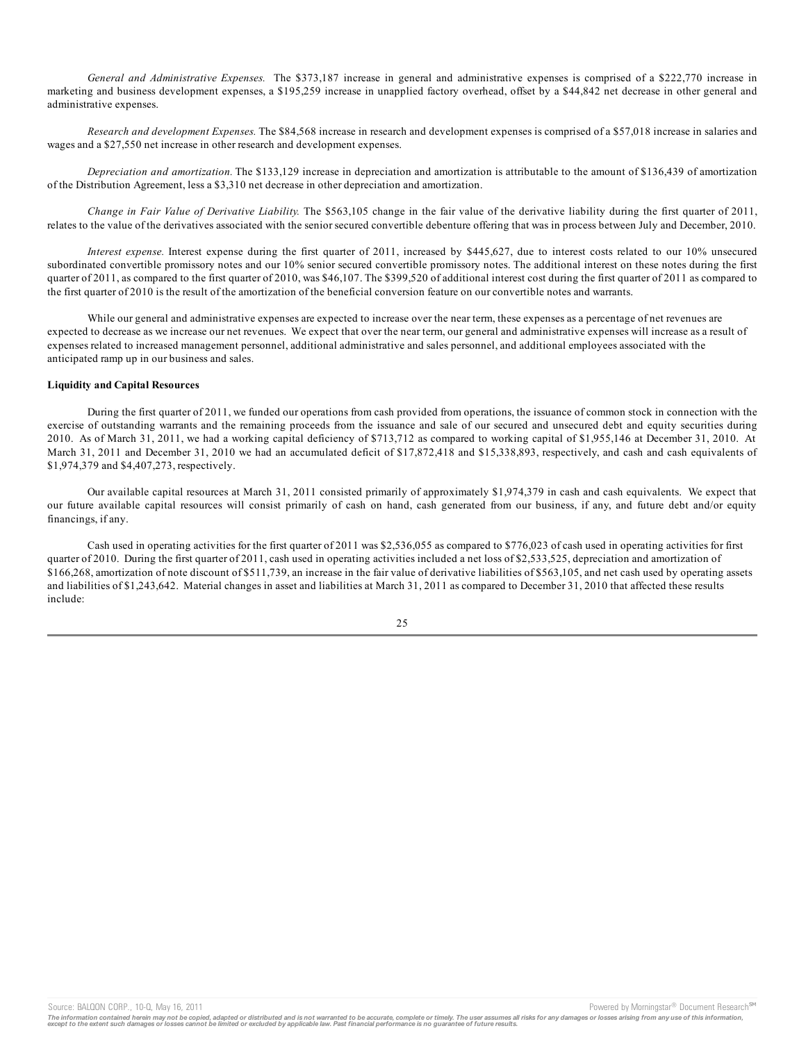*General and Administrative Expenses.* The \$373,187 increase in general and administrative expenses is comprised of a \$222,770 increase in marketing and business development expenses, a \$195,259 increase in unapplied factory overhead, offset by a \$44,842 net decrease in other general and administrative expenses.

*Research and development Expenses.* The \$84,568 increase in research and development expenses is comprised of a \$57,018 increase in salaries and wages and a \$27,550 net increase in other research and development expenses.

*Depreciation and amortization.* The \$133,129 increase in depreciation and amortization is attributable to the amount of \$136,439 of amortization of the Distribution Agreement, less a \$3,310 net decrease in other depreciation and amortization.

*Change in Fair Value of Derivative Liability.* The \$563,105 change in the fair value of the derivative liability during the first quarter of 2011, relates to the value of the derivatives associated with the senior secured convertible debenture offering that was in process between July and December, 2010.

*Interest expense.* Interest expense during the first quarter of 2011, increased by \$445,627, due to interest costs related to our 10% unsecured subordinated convertible promissory notes and our 10% senior secured convertible promissory notes. The additional interest on these notes during the first quarter of 2011, as compared to the first quarter of 2010, was \$46,107. The \$399,520 of additional interest cost during the first quarter of 2011 as compared to the first quarter of 2010 is the result of the amortization of the beneficial conversion feature on our convertible notes and warrants.

While our general and administrative expenses are expected to increase over the near term, these expenses as a percentage of net revenues are expected to decrease as we increase our net revenues. We expect that over the near term, our general and administrative expenses will increase as a result of expenses related to increased management personnel, additional administrative and sales personnel, and additional employees associated with the anticipated ramp up in our business and sales.

#### **Liquidity and Capital Resources**

During the first quarter of 2011, we funded our operations from cash provided from operations, the issuance of common stock in connection with the exercise of outstanding warrants and the remaining proceeds from the issuance and sale of our secured and unsecured debt and equity securities during 2010. As of March 31, 2011, we had a working capital deficiency of \$713,712 as compared to working capital of \$1,955,146 at December 31, 2010. At March 31, 2011 and December 31, 2010 we had an accumulated deficit of \$17,872,418 and \$15,338,893, respectively, and cash and cash equivalents of \$1,974,379 and \$4,407,273, respectively.

Our available capital resources at March 31, 2011 consisted primarily of approximately \$1,974,379 in cash and cash equivalents. We expect that our future available capital resources will consist primarily of cash on hand, cash generated from our business, if any, and future debt and/or equity financings, if any.

Cash used in operating activities for the first quarter of 2011 was \$2,536,055 as compared to \$776,023 of cash used in operating activities for first quarter of 2010. During the first quarter of 2011, cash used in operating activities included a net loss of \$2,533,525, depreciation and amortization of \$166,268, amortization of note discount of \$511,739, an increase in the fair value of derivative liabilities of \$563,105, and net cash used by operating assets and liabilities of \$1,243,642. Material changes in asset and liabilities at March 31, 2011 as compared to December 31, 2010 that affected these results include:

Source: BALQON CORP., 10-Q, May 16, 2011 **Powered by Morningstar® Document Research** in Powered by Morningstar® Document Research in

The information contained herein may not be copied, adapted or distributed and is not warranted to be accurate, complete or timely. The user assumes all risks for any damages or losses arising from any use of this informat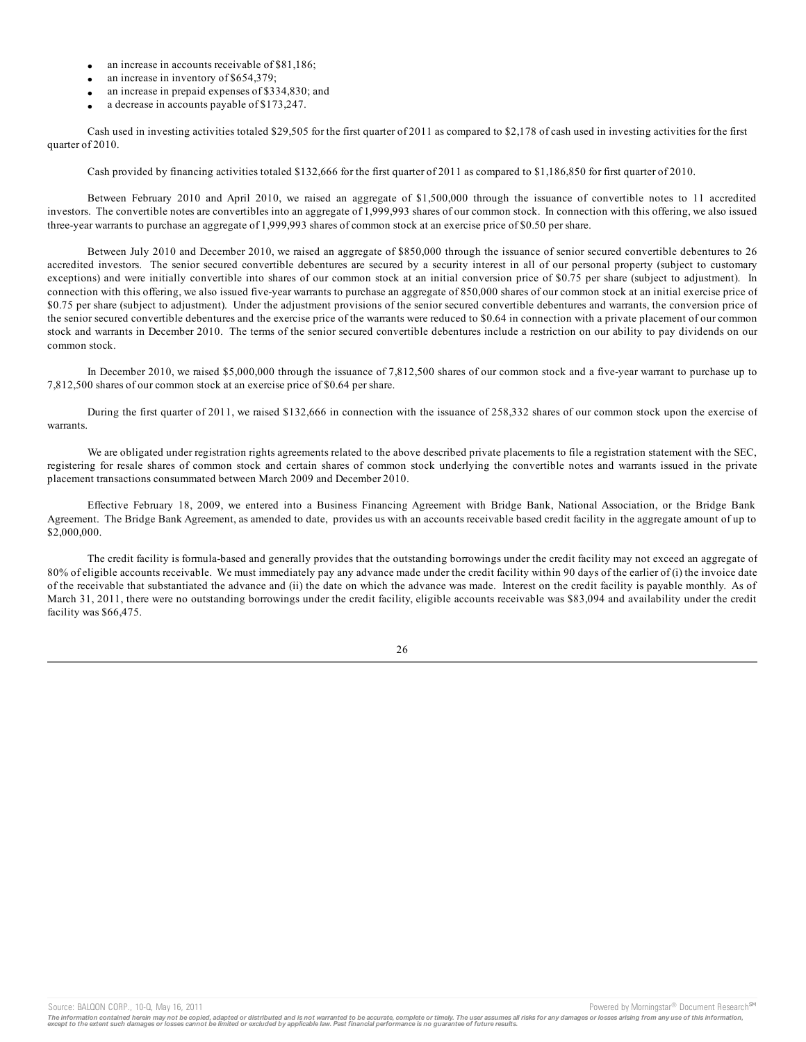- an increase in accounts receivable of \$81,186;
- an increase in inventory of \$654,379;
- an increase in prepaid expenses of \$334,830; and
- a decrease in accounts payable of \$173,247.

Cash used in investing activities totaled \$29,505 for the first quarter of 2011 as compared to \$2,178 of cash used in investing activities for the first quarter of 2010.

Cash provided by financing activities totaled \$132,666 for the first quarter of 2011 as compared to \$1,186,850 for first quarter of 2010.

Between February 2010 and April 2010, we raised an aggregate of \$1,500,000 through the issuance of convertible notes to 11 accredited investors. The convertible notes are convertibles into an aggregate of 1,999,993 shares of our common stock. In connection with this offering, we also issued three-year warrants to purchase an aggregate of 1,999,993 shares of common stock at an exercise price of \$0.50 per share.

Between July 2010 and December 2010, we raised an aggregate of \$850,000 through the issuance of senior secured convertible debentures to 26 accredited investors. The senior secured convertible debentures are secured by a security interest in all of our personal property (subject to customary exceptions) and were initially convertible into shares of our common stock at an initial conversion price of \$0.75 per share (subject to adjustment). In connection with this offering, we also issued five-year warrants to purchase an aggregate of 850,000 shares of our common stock at an initial exercise price of \$0.75 per share (subject to adjustment). Under the adjustment provisions of the senior secured convertible debentures and warrants, the conversion price of the senior secured convertible debentures and the exercise price of the warrants were reduced to \$0.64 in connection with a private placement of our common stock and warrants in December 2010. The terms of the senior secured convertible debentures include a restriction on our ability to pay dividends on our common stock.

In December 2010, we raised \$5,000,000 through the issuance of 7,812,500 shares of our common stock and a five-year warrant to purchase up to 7,812,500 shares of our common stock at an exercise price of \$0.64 per share.

During the first quarter of 2011, we raised \$132,666 in connection with the issuance of 258,332 shares of our common stock upon the exercise of warrants.

We are obligated under registration rights agreements related to the above described private placements to file a registration statement with the SEC. registering for resale shares of common stock and certain shares of common stock underlying the convertible notes and warrants issued in the private placement transactions consummated between March 2009 and December 2010.

Effective February 18, 2009, we entered into a Business Financing Agreement with Bridge Bank, National Association, or the Bridge Bank Agreement. The Bridge Bank Agreement, as amended to date, provides us with an accounts receivable based credit facility in the aggregate amount of up to \$2,000,000.

The credit facility is formula-based and generally provides that the outstanding borrowings under the credit facility may not exceed an aggregate of 80% of eligible accounts receivable. We must immediately pay any advance made under the credit facility within 90 days of the earlier of (i) the invoice date of the receivable that substantiated the advance and (ii) the date on which the advance was made. Interest on the credit facility is payable monthly. As of March 31, 2011, there were no outstanding borrowings under the credit facility, eligible accounts receivable was \$83,094 and availability under the credit facility was \$66,475.



Source: BALQON CORP., 10-Q, May 16, 2011 **Powered by Morningstar® Document Research** in Powered by Morningstar® Document Research in

The information contained herein may not be copied, adapted or distributed and is not warranted to be accurate, complete or timely. The user assumes all risks for any damages or losses arising from any use of this informat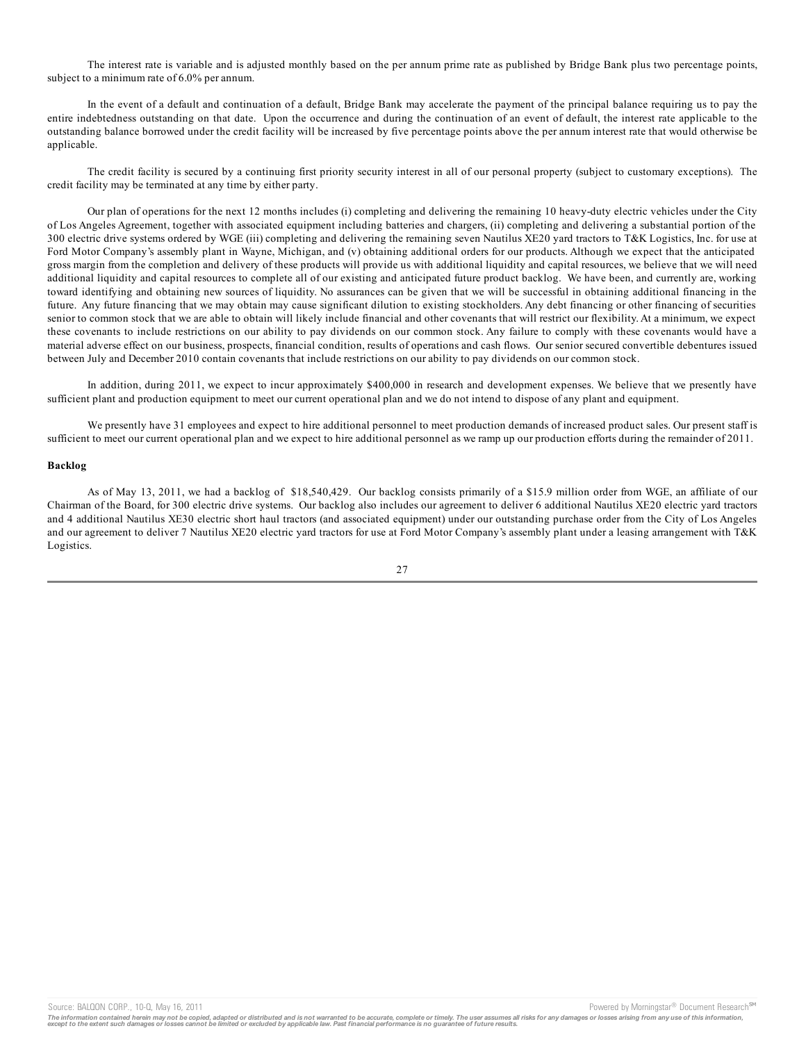The interest rate is variable and is adjusted monthly based on the per annum prime rate as published by Bridge Bank plus two percentage points, subject to a minimum rate of 6.0% per annum.

In the event of a default and continuation of a default, Bridge Bank may accelerate the payment of the principal balance requiring us to pay the entire indebtedness outstanding on that date. Upon the occurrence and during the continuation of an event of default, the interest rate applicable to the outstanding balance borrowed under the credit facility will be increased by five percentage points above the per annum interest rate that would otherwise be applicable.

The credit facility is secured by a continuing first priority security interest in all of our personal property (subject to customary exceptions). The credit facility may be terminated at any time by either party.

Our plan of operations for the next 12 months includes (i) completing and delivering the remaining 10 heavy-duty electric vehicles under the City of Los Angeles Agreement, together with associated equipment including batteries and chargers, (ii) completing and delivering a substantial portion of the 300 electric drive systems ordered by WGE (iii) completing and delivering the remaining seven Nautilus XE20 yard tractors to T&K Logistics, Inc. for use at Ford Motor Company's assembly plant in Wayne, Michigan, and (v) obtaining additional orders for our products. Although we expect that the anticipated gross margin from the completion and delivery of these products will provide us with additional liquidity and capital resources, we believe that we will need additional liquidity and capital resources to complete all of our existing and anticipated future product backlog. We have been, and currently are, working toward identifying and obtaining new sources of liquidity. No assurances can be given that we will be successful in obtaining additional financing in the future. Any future financing that we may obtain may cause significant dilution to existing stockholders. Any debt financing or other financing of securities senior to common stock that we are able to obtain will likely include financial and other covenants that will restrict our flexibility. At a minimum, we expect these covenants to include restrictions on our ability to pay dividends on our common stock. Any failure to comply with these covenants would have a material adverse effect on our business, prospects, financial condition, results of operations and cash flows. Our senior secured convertible debentures issued between July and December 2010 contain covenants that include restrictions on our ability to pay dividends on our common stock.

In addition, during 2011, we expect to incur approximately \$400,000 in research and development expenses. We believe that we presently have sufficient plant and production equipment to meet our current operational plan and we do not intend to dispose of any plant and equipment.

We presently have 31 employees and expect to hire additional personnel to meet production demands of increased product sales. Our present staff is sufficient to meet our current operational plan and we expect to hire additional personnel as we ramp up our production efforts during the remainder of 2011.

#### **Backlog**

As of May 13, 2011, we had a backlog of \$18,540,429. Our backlog consists primarily of a \$15.9 million order from WGE, an affiliate of our Chairman of the Board, for 300 electric drive systems. Our backlog also includes our agreement to deliver 6 additional Nautilus XE20 electric yard tractors and 4 additional Nautilus XE30 electric short haul tractors (and associated equipment) under our outstanding purchase order from the City of Los Angeles and our agreement to deliver 7 Nautilus XE20 electric yard tractors for use at Ford Motor Company's assembly plant under a leasing arrangement with T&K Logistics.



Source: BALQON CORP., 10-Q, May 16, 2011 **Powered by Morningstar® Document Research** in Powered by Morningstar® Document Research in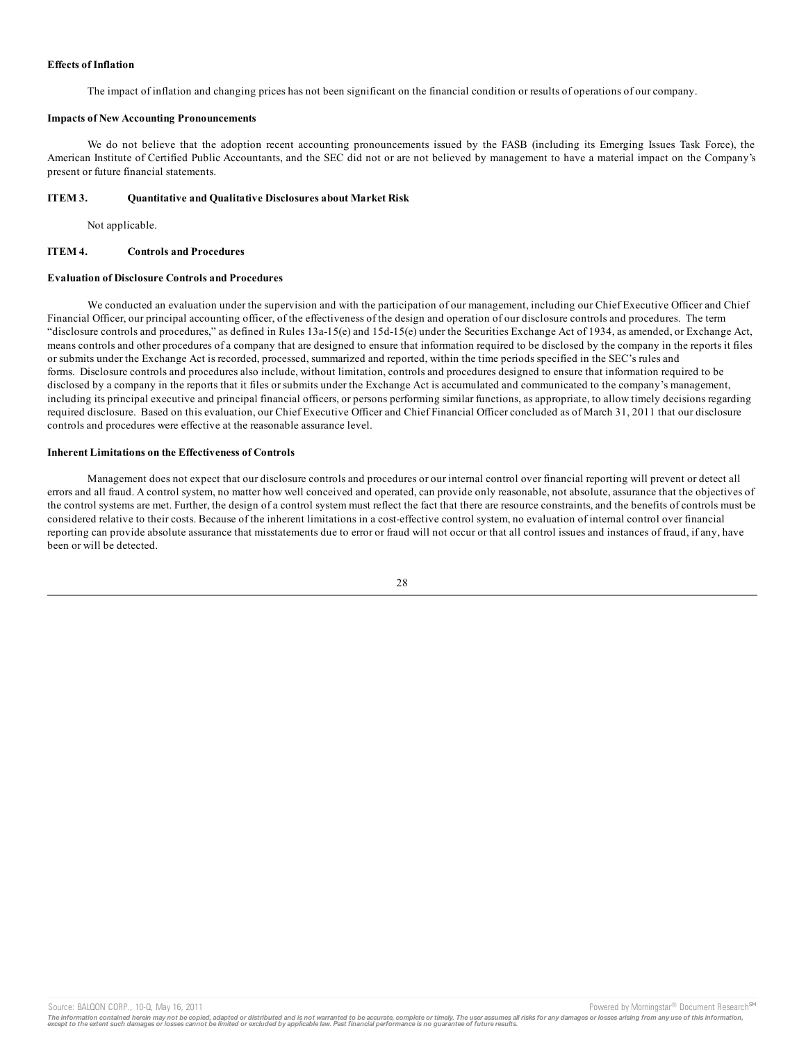# **Effects of Inflation**

The impact of inflation and changing prices has not been significant on the financial condition or results of operations of our company.

#### **Impacts of New Accounting Pronouncements**

We do not believe that the adoption recent accounting pronouncements issued by the FASB (including its Emerging Issues Task Force), the American Institute of Certified Public Accountants, and the SEC did not or are not believed by management to have a material impact on the Company's present or future financial statements.

#### **ITEM 3. Quantitative and Qualitative Disclosures about Market Risk**

Not applicable.

## **ITEM 4. Controls and Procedures**

### **Evaluation of Disclosure Controls and Procedures**

We conducted an evaluation under the supervision and with the participation of our management, including our Chief Executive Officer and Chief Financial Officer, our principal accounting officer, of the effectiveness of the design and operation of our disclosure controls and procedures. The term "disclosure controls and procedures," as defined in Rules 13a-15(e) and 15d-15(e) under the Securities Exchange Act of 1934, as amended, or Exchange Act, means controls and other procedures of a company that are designed to ensure that information required to be disclosed by the company in the reports it files or submits under the Exchange Act is recorded, processed, summarized and reported, within the time periods specified in the SEC's rules and forms. Disclosure controls and procedures also include, without limitation, controls and procedures designed to ensure that information required to be disclosed by a company in the reports that it files or submits under the Exchange Act is accumulated and communicated to the company's management, including its principal executive and principal financial officers, or persons performing similar functions, as appropriate, to allow timely decisions regarding required disclosure. Based on this evaluation, our Chief Executive Officer and Chief Financial Officer concluded as of March 31, 2011 that our disclosure controls and procedures were effective at the reasonable assurance level.

## **Inherent Limitations on the Effectiveness of Controls**

Management does not expect that our disclosure controls and procedures or our internal control over financial reporting will prevent or detect all errors and all fraud. A control system, no matter how well conceived and operated, can provide only reasonable, not absolute, assurance that the objectives of the control systems are met. Further, the design of a control system must reflect the fact that there are resource constraints, and the benefits of controls must be considered relative to their costs. Because of the inherent limitations in a cost-effective control system, no evaluation of internal control over financial reporting can provide absolute assurance that misstatements due to error or fraud will not occur or that all control issues and instances of fraud, if any, have been or will be detected.



Source: BALQON CORP., 10-Q, May 16, 2011 **Provides a controlled by Account Account Account Account Research** and the powered by Morningstar® Document Research **SM** 

The information contained herein may not be copied, adapted or distributed and is not warranted to be accurate, complete or timely. The user assumes all risks for any damages or losses arising from any use of this informat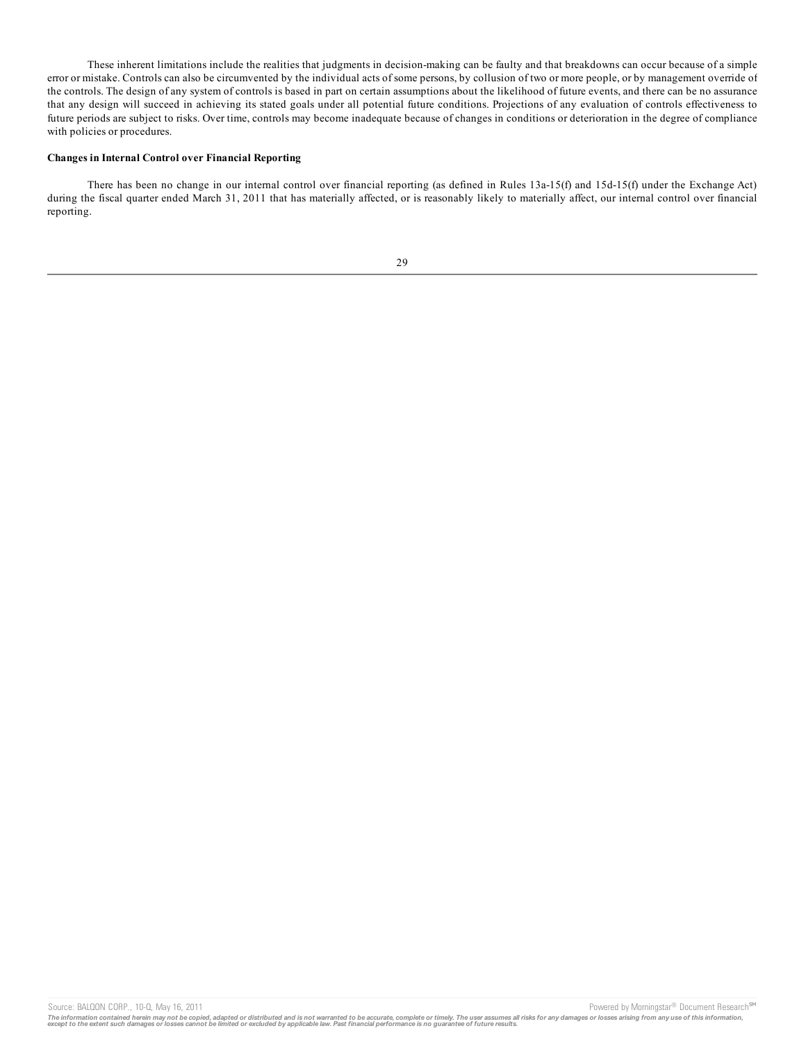These inherent limitations include the realities that judgments in decision-making can be faulty and that breakdowns can occur because of a simple error or mistake. Controls can also be circumvented by the individual acts of some persons, by collusion of two or more people, or by management override of the controls. The design of any system of controls is based in part on certain assumptions about the likelihood of future events, and there can be no assurance that any design will succeed in achieving its stated goals under all potential future conditions. Projections of any evaluation of controls effectiveness to future periods are subject to risks. Over time, controls may become inadequate because of changes in conditions or deterioration in the degree of compliance with policies or procedures.

## **Changes in Internal Control over Financial Reporting**

There has been no change in our internal control over financial reporting (as defined in Rules 13a-15(f) and 15d-15(f) under the Exchange Act) during the fiscal quarter ended March 31, 2011 that has materially affected, or is reasonably likely to materially affect, our internal control over financial reporting.

Source: BALQON CORP., 10-Q, May 16, 2011<br>The information contained herein may not be copied, adapted or distributed and is not warranted to be accurate, complete or timely. The user assumes all risks for any damages or los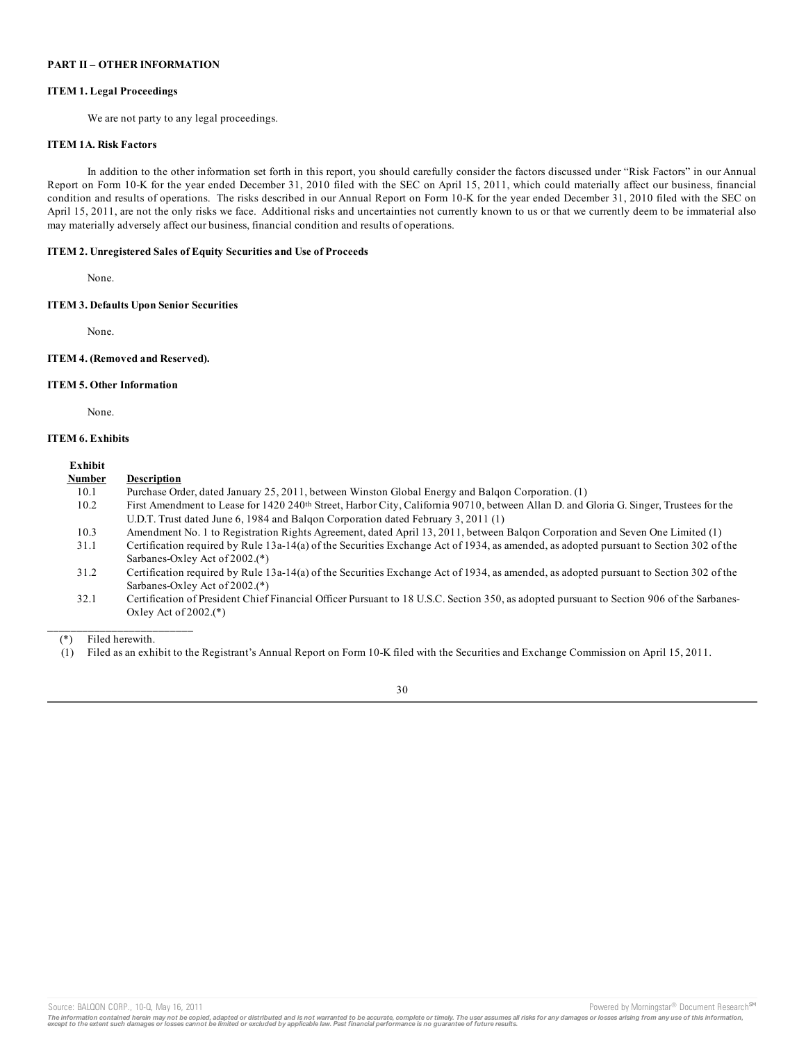# **PART II – OTHER INFORMATION**

#### **ITEM 1. Legal Proceedings**

We are not party to any legal proceedings.

# **ITEM 1A. Risk Factors**

In addition to the other information set forth in this report, you should carefully consider the factors discussed under "Risk Factors" in our Annual Report on Form 10-K for the year ended December 31, 2010 filed with the SEC on April 15, 2011, which could materially affect our business, financial condition and results of operations. The risks described in our Annual Report on Form 10-K for the year ended December 31, 2010 filed with the SEC on April 15, 2011, are not the only risks we face. Additional risks and uncertainties not currently known to us or that we currently deem to be immaterial also may materially adversely affect our business, financial condition and results of operations.

## **ITEM 2. Unregistered Sales of Equity Securities and Use of Proceeds**

None.

#### **ITEM 3. Defaults Upon Senior Securities**

None.

# **ITEM 4. (Removed and Reserved).**

### **ITEM 5. Other Information**

None.

# **ITEM 6. Exhibits**

| Exhibit       |                                                                                                                                                    |
|---------------|----------------------------------------------------------------------------------------------------------------------------------------------------|
| <b>Number</b> | Description                                                                                                                                        |
| 10.1          | Purchase Order, dated January 25, 2011, between Winston Global Energy and Balgon Corporation. (1)                                                  |
| 10.2          | First Amendment to Lease for 1420 240 <sup>th</sup> Street, Harbor City, California 90710, between Allan D. and Gloria G. Singer, Trustees for the |
|               | U.D.T. Trust dated June $6, 1984$ and Balgon Corporation dated February 3, 2011 (1)                                                                |
| 10.3          | Amendment No. 1 to Registration Rights Agreement, dated April 13, 2011, between Balgon Corporation and Seven One Limited (1)                       |
| 31.1          | Certification required by Rule 13a-14(a) of the Securities Exchange Act of 1934, as amended, as adopted pursuant to Section 302 of the             |
|               | Sarbanes-Oxley Act of 2002.(*)                                                                                                                     |
| 31.2          | Certification required by Rule 13a-14(a) of the Securities Exchange Act of 1934, as amended, as adopted pursuant to Section 302 of the             |
|               | Sarbanes-Oxley Act of 2002.(*)                                                                                                                     |
| 32.1          | Certification of President Chief Financial Officer Pursuant to 18 U.S.C. Section 350, as adopted pursuant to Section 906 of the Sarbanes-          |
|               | Oxley Act of $2002$ .(*)                                                                                                                           |

(\*) Filed herewith.

**\_\_\_\_\_\_\_\_\_\_\_\_\_\_\_\_\_\_\_\_\_\_\_\_\_**

(1) Filed as an exhibit to the Registrant's Annual Report on Form 10-K filed with the Securities and Exchange Commission on April 15, 2011.

30

Source: BALQON CORP., 10-Q, May 16, 2011 **Powered by Morningstar<sup>®</sup>** Document Research<sup>™</sup>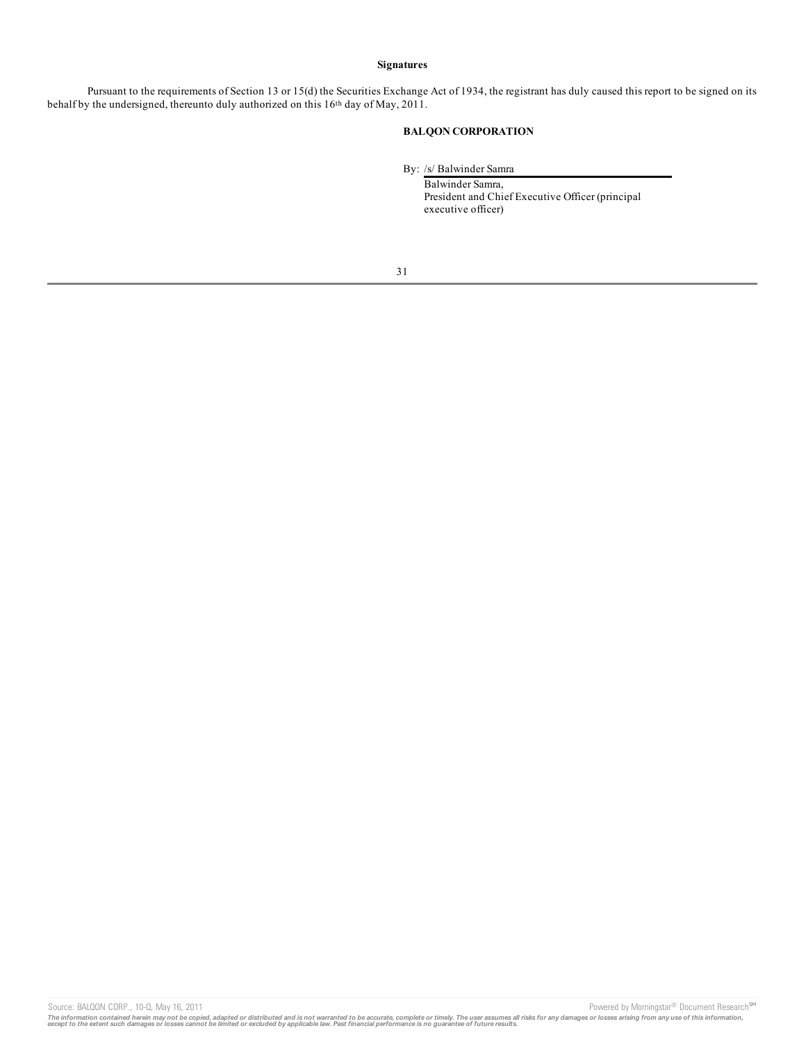# **Signatures**

Pursuant to the requirements of Section 13 or 15(d) the Securities Exchange Act of 1934, the registrant has duly caused this report to be signed on its behalf by the undersigned, thereunto duly authorized on this 16<sup>th</sup> day of May, 2011.

# **BALQON CORPORATION**

By: /s/ Balwinder Samra

Balwinder Samra, President and Chief Executive Officer (principal executive officer)

Source: BALQON CORP., 10-Q, May 16, 2011 2011 2012 12:30 Powered by Morningstar® Document Research SM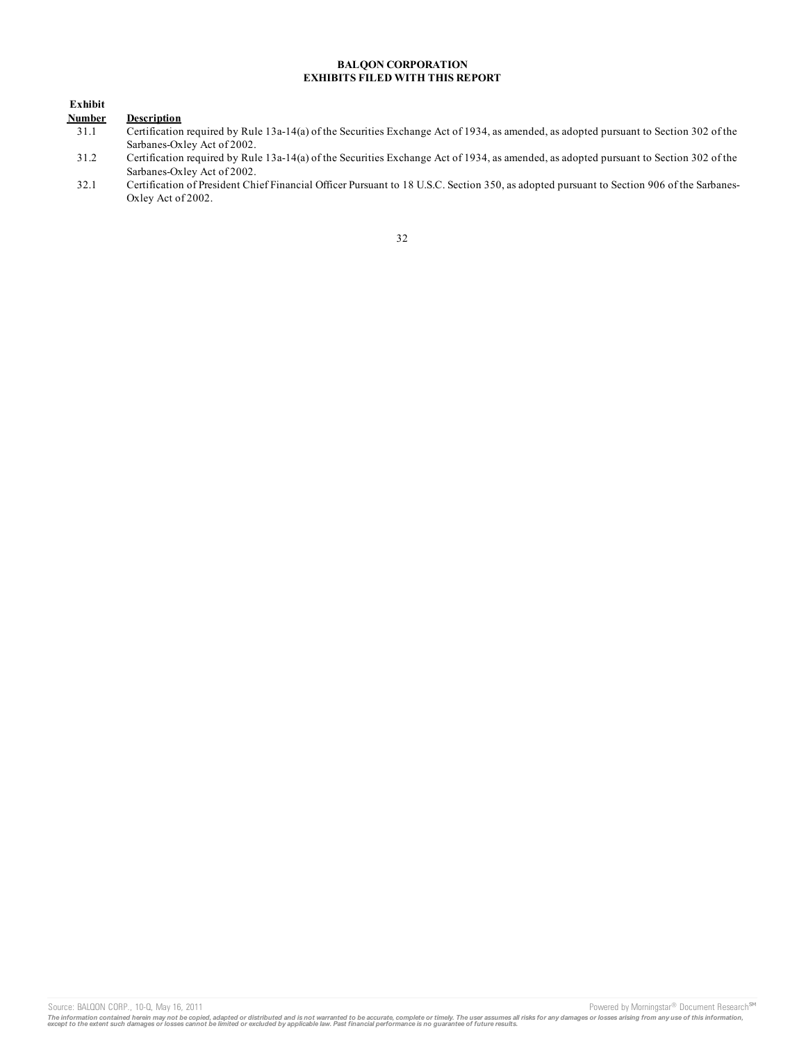# **BALQON CORPORATION EXHIBITS FILED WITH THIS REPORT**

**Exhibit**

- **Number Description**<br>31.1 **Certification** Certification required by Rule 13a-14(a) of the Securities Exchange Act of 1934, as amended, as adopted pursuant to Section 302 of the Sarbanes-Oxley Act of 2002.
- 31.2 Certification required by Rule 13a-14(a) of the Securities Exchange Act of 1934, as amended, as adopted pursuant to Section 302 of the Sarbanes-Oxley Act of 2002.
- 32.1 Certification of President Chief Financial Officer Pursuant to 18 U.S.C. Section 350, as adopted pursuant to Section 906 of the Sarbanes-Oxley Act of 2002.

# 32

The information contained herein may not be copied, adapted or distributed and is not warranted to be accurate, complete or timely. The user assumes all risks for any damages or losses arising from any use of this informat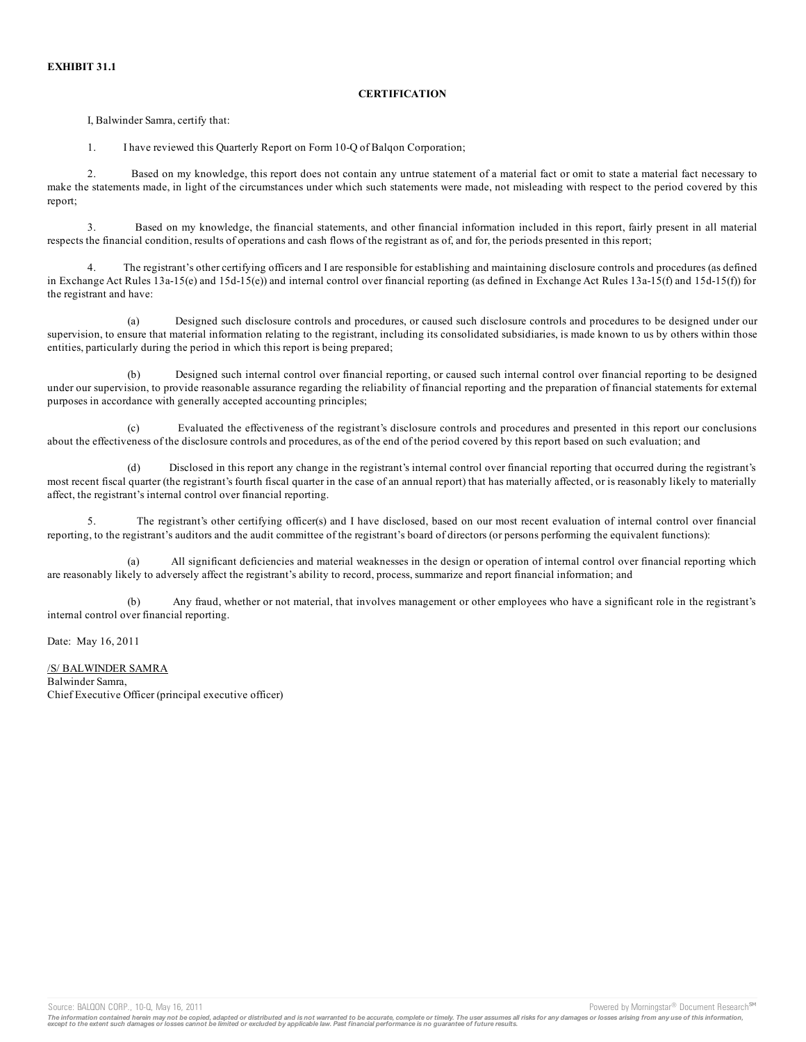## **CERTIFICATION**

I, Balwinder Samra, certify that:

1. I have reviewed this Quarterly Report on Form 10-Q of Balqon Corporation;

2. Based on my knowledge, this report does not contain any untrue statement of a material fact or omit to state a material fact necessary to make the statements made, in light of the circumstances under which such statements were made, not misleading with respect to the period covered by this report;

3. Based on my knowledge, the financial statements, and other financial information included in this report, fairly present in all material respects the financial condition, results of operations and cash flows of the registrant as of, and for, the periods presented in this report;

4. The registrant's other certifying officers and I are responsible for establishing and maintaining disclosure controls and procedures (as defined in Exchange Act Rules 13a-15(e) and 15d-15(e)) and internal control over financial reporting (as defined in Exchange Act Rules 13a-15(f) and 15d-15(f)) for the registrant and have:

(a) Designed such disclosure controls and procedures, or caused such disclosure controls and procedures to be designed under our supervision, to ensure that material information relating to the registrant, including its consolidated subsidiaries, is made known to us by others within those entities, particularly during the period in which this report is being prepared;

(b) Designed such internal control over financial reporting, or caused such internal control over financial reporting to be designed under our supervision, to provide reasonable assurance regarding the reliability of financial reporting and the preparation of financial statements for external purposes in accordance with generally accepted accounting principles;

(c) Evaluated the effectiveness of the registrant's disclosure controls and procedures and presented in this report our conclusions about the effectiveness of the disclosure controls and procedures, as of the end of the period covered by this report based on such evaluation; and

(d) Disclosed in this report any change in the registrant's internal control over financial reporting that occurred during the registrant's most recent fiscal quarter (the registrant's fourth fiscal quarter in the case of an annual report) that has materially affected, or is reasonably likely to materially affect, the registrant's internal control over financial reporting.

5. The registrant's other certifying officer(s) and I have disclosed, based on our most recent evaluation of internal control over financial reporting, to the registrant's auditors and the audit committee of the registrant's board of directors (or persons performing the equivalent functions):

(a) All significant deficiencies and material weaknesses in the design or operation of internal control over financial reporting which are reasonably likely to adversely affect the registrant's ability to record, process, summarize and report financial information; and

(b) Any fraud, whether or not material, that involves management or other employees who have a significant role in the registrant's internal control over financial reporting.

Date: May 16, 2011

# /S/ BALWINDER SAMRA

Balwinder Samra, Chief Executive Officer (principal executive officer)

Source: BALQON CORP., 10-Q, May 16, 2011 **Powered by Morningstar® Document Research** in Powered by Morningstar® Document Research in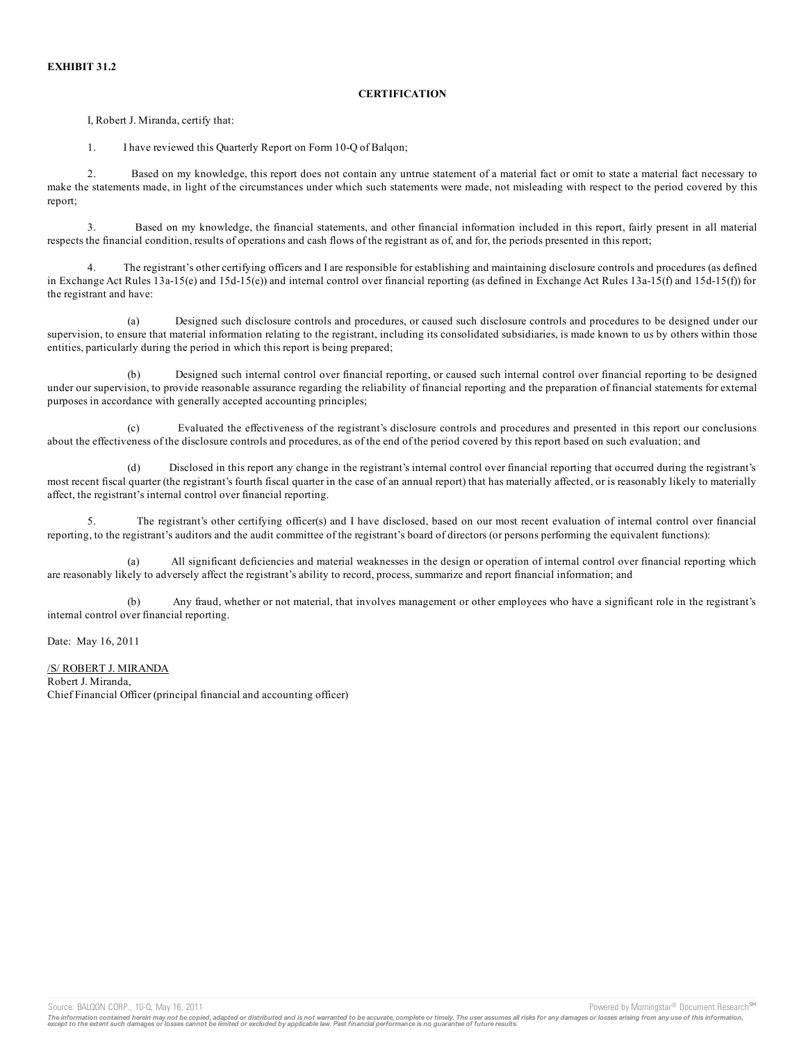## **CERTIFICATION**

I, Robert J. Miranda, certify that:

1. I have reviewed this Quarterly Report on Form 10-Q of Balqon;

2. Based on my knowledge, this report does not contain any untrue statement of a material fact or omit to state a material fact necessary to make the statements made, in light of the circumstances under which such statements were made, not misleading with respect to the period covered by this report;

3. Based on my knowledge, the financial statements, and other financial information included in this report, fairly present in all material respects the financial condition, results of operations and cash flows of the registrant as of, and for, the periods presented in this report;

4. The registrant's other certifying officers and I are responsible for establishing and maintaining disclosure controls and procedures (as defined in Exchange Act Rules 13a-15(e) and 15d-15(e)) and internal control over financial reporting (as defined in Exchange Act Rules 13a-15(f) and 15d-15(f)) for the registrant and have:

(a) Designed such disclosure controls and procedures, or caused such disclosure controls and procedures to be designed under our supervision, to ensure that material information relating to the registrant, including its consolidated subsidiaries, is made known to us by others within those entities, particularly during the period in which this report is being prepared;

(b) Designed such internal control over financial reporting, or caused such internal control over financial reporting to be designed under our supervision, to provide reasonable assurance regarding the reliability of financial reporting and the preparation of financial statements for external purposes in accordance with generally accepted accounting principles;

(c) Evaluated the effectiveness of the registrant's disclosure controls and procedures and presented in this report our conclusions about the effectiveness of the disclosure controls and procedures, as of the end of the period covered by this report based on such evaluation; and

(d) Disclosed in this report any change in the registrant's internal control over financial reporting that occurred during the registrant's most recent fiscal quarter (the registrant's fourth fiscal quarter in the case of an annual report) that has materially affected, or is reasonably likely to materially affect, the registrant's internal control over financial reporting.

5. The registrant's other certifying officer(s) and I have disclosed, based on our most recent evaluation of internal control over financial reporting, to the registrant's auditors and the audit committee of the registrant's board of directors (or persons performing the equivalent functions):

(a) All significant deficiencies and material weaknesses in the design or operation of internal control over financial reporting which are reasonably likely to adversely affect the registrant's ability to record, process, summarize and report financial information; and

(b) Any fraud, whether or not material, that involves management or other employees who have a significant role in the registrant's internal control over financial reporting.

Date: May 16, 2011

/S/ ROBERT J. MIRANDA Robert J. Miranda, Chief Financial Officer (principal financial and accounting officer)

Source: BALQON CORP., 10-Q, May 16, 2011 **Powered by Morningstar® Document Research** in Powered by Morningstar® Document Research in